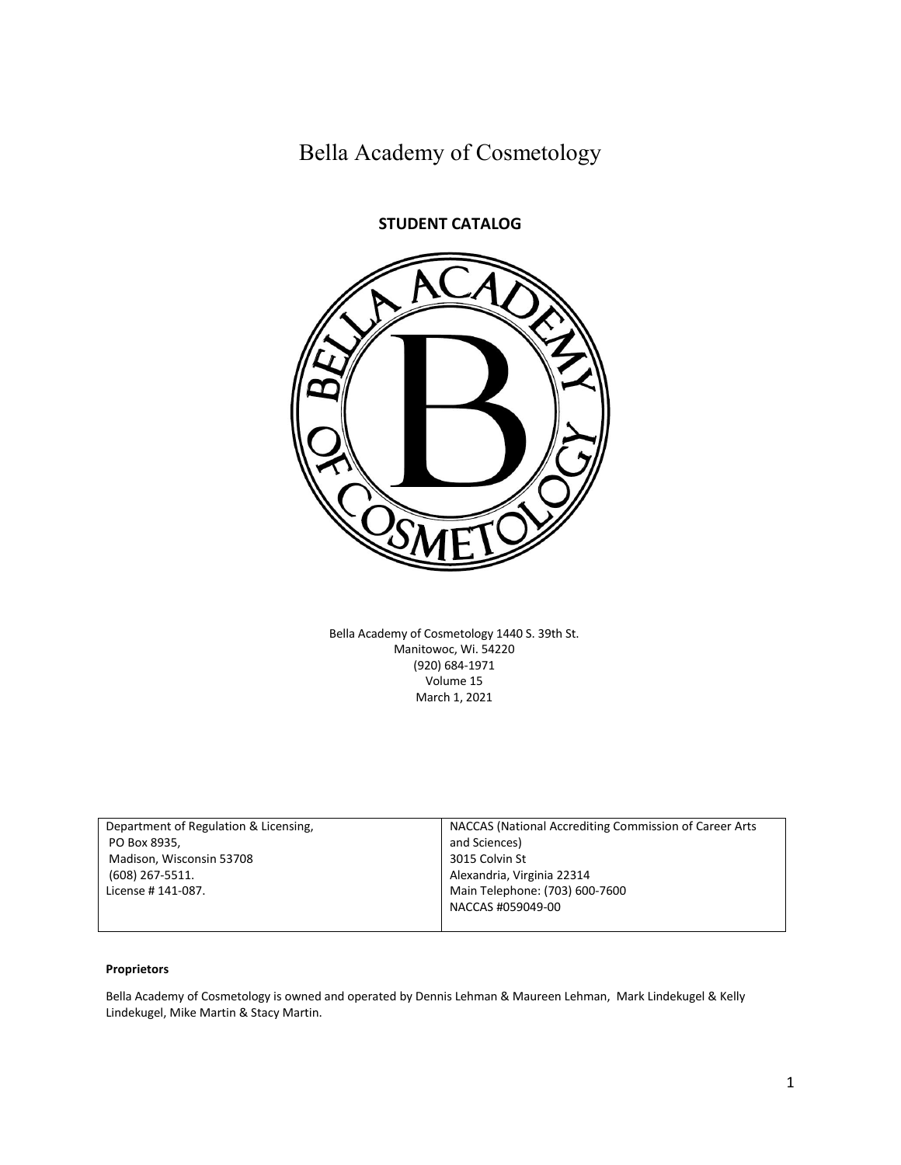Bella Academy of Cosmetology



Bella Academy of Cosmetology 1440 S. 39th St. Manitowoc, Wi. 54220 (920) 684-1971 Volume 15 March 1, 2021

| Department of Regulation & Licensing, | NACCAS (National Accrediting Commission of Career Arts |
|---------------------------------------|--------------------------------------------------------|
| PO Box 8935,                          | and Sciences)                                          |
| Madison, Wisconsin 53708              | 3015 Colvin St                                         |
| (608) 267-5511.                       | Alexandria, Virginia 22314                             |
| License # 141-087.                    | Main Telephone: (703) 600-7600                         |
|                                       | NACCAS #059049-00                                      |
|                                       |                                                        |

#### **Proprietors**

Bella Academy of Cosmetology is owned and operated by Dennis Lehman & Maureen Lehman, Mark Lindekugel & Kelly Lindekugel, Mike Martin & Stacy Martin.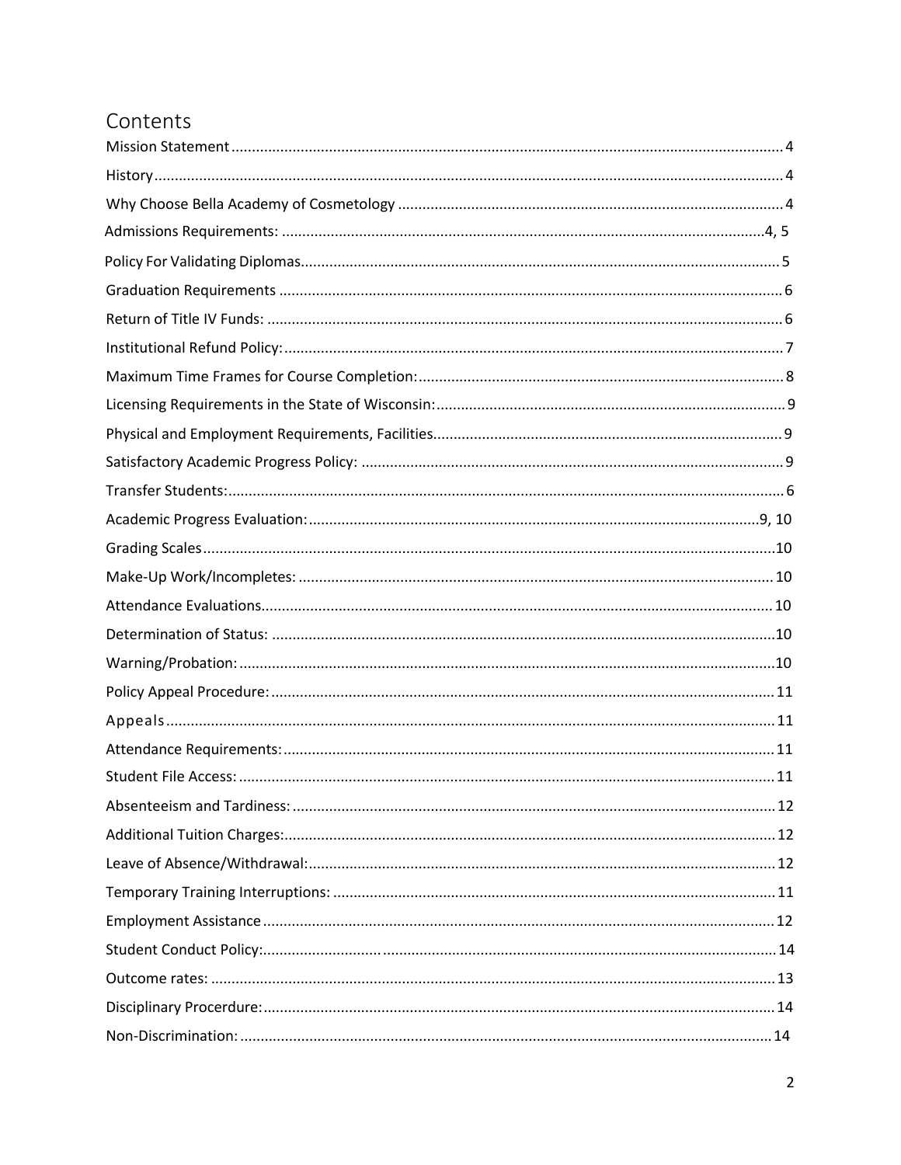# Contents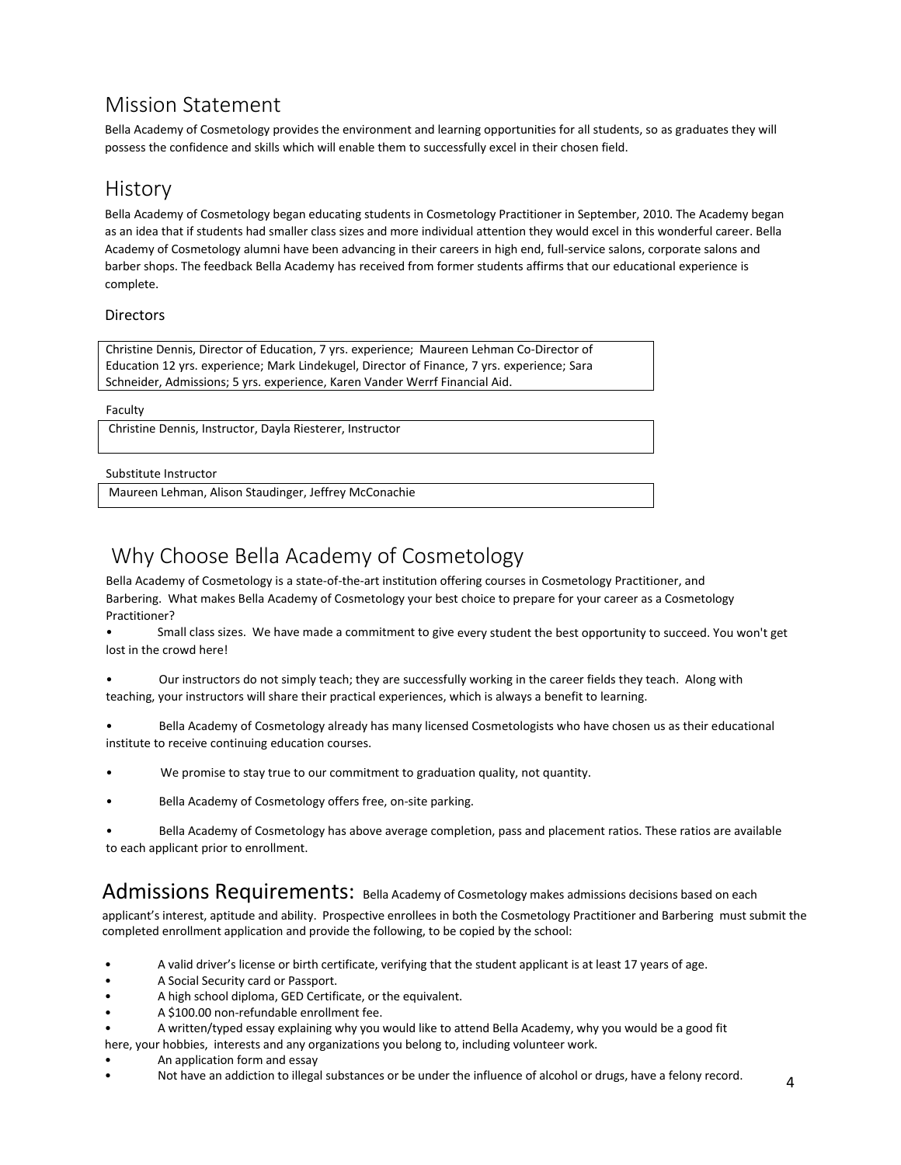## <span id="page-3-0"></span>Mission Statement

Bella Academy of Cosmetology provides the environment and learning opportunities for all students, so as graduates they will possess the confidence and skills which will enable them to successfully excel in their chosen field.

## <span id="page-3-1"></span>History

Bella Academy of Cosmetology began educating students in Cosmetology Practitioner in September, 2010. The Academy began as an idea that if students had smaller class sizes and more individual attention they would excel in this wonderful career. Bella Academy of Cosmetology alumni have been advancing in their careers in high end, full-service salons, corporate salons and barber shops. The feedback Bella Academy has received from former students affirms that our educational experience is complete.

#### Directors

Christine Dennis, Director of Education, 7 yrs. experience; Maureen Lehman Co-Director of Education 12 yrs. experience; Mark Lindekugel, Director of Finance, 7 yrs. experience; Sara Schneider, Admissions; 5 yrs. experience, Karen Vander Werrf Financial Aid.

Faculty

Christine Dennis, Instructor, Dayla Riesterer, Instructor

#### Substitute Instructor

Maureen Lehman, Alison Staudinger, Jeffrey McConachie

# <span id="page-3-2"></span>Why Choose Bella Academy of Cosmetology

Bella Academy of Cosmetology is a state-of-the-art institution offering courses in Cosmetology Practitioner, and Barbering. What makes Bella Academy of Cosmetology your best choice to prepare for your career as a Cosmetology Practitioner?

• Small class sizes. We have made a commitment to give every student the best opportunity to succeed. You won't get lost in the crowd here!

• Our instructors do not simply teach; they are successfully working in the career fields they teach. Along with teaching, your instructors will share their practical experiences, which is always a benefit to learning.

• Bella Academy of Cosmetology already has many licensed Cosmetologists who have chosen us as their educational institute to receive continuing education courses.

- We promise to stay true to our commitment to graduation quality, not quantity.
- Bella Academy of Cosmetology offers free, on-site parking.

• Bella Academy of Cosmetology has above average completion, pass and placement ratios. These ratios are available to each applicant prior to enrollment.

### Admissions Requirements: Bella Academy of Cosmetology makes admissions decisions based on each

applicant's interest, aptitude and ability. Prospective enrollees in both the Cosmetology Practitioner and Barbering must submit the completed enrollment application and provide the following, to be copied by the school:

- A valid driver's license or birth certificate, verifying that the student applicant is at least 17 years of age.
- A Social Security card or Passport.
- A high school diploma, GED Certificate, or the equivalent.
- A \$100.00 non-refundable enrollment fee.
- A written/typed essay explaining why you would like to attend Bella Academy, why you would be a good fit

here, your hobbies, interests and any organizations you belong to, including volunteer work.

- An application form and essay
- Not have an addiction to illegal substances or be under the influence of alcohol or drugs, have a felony record.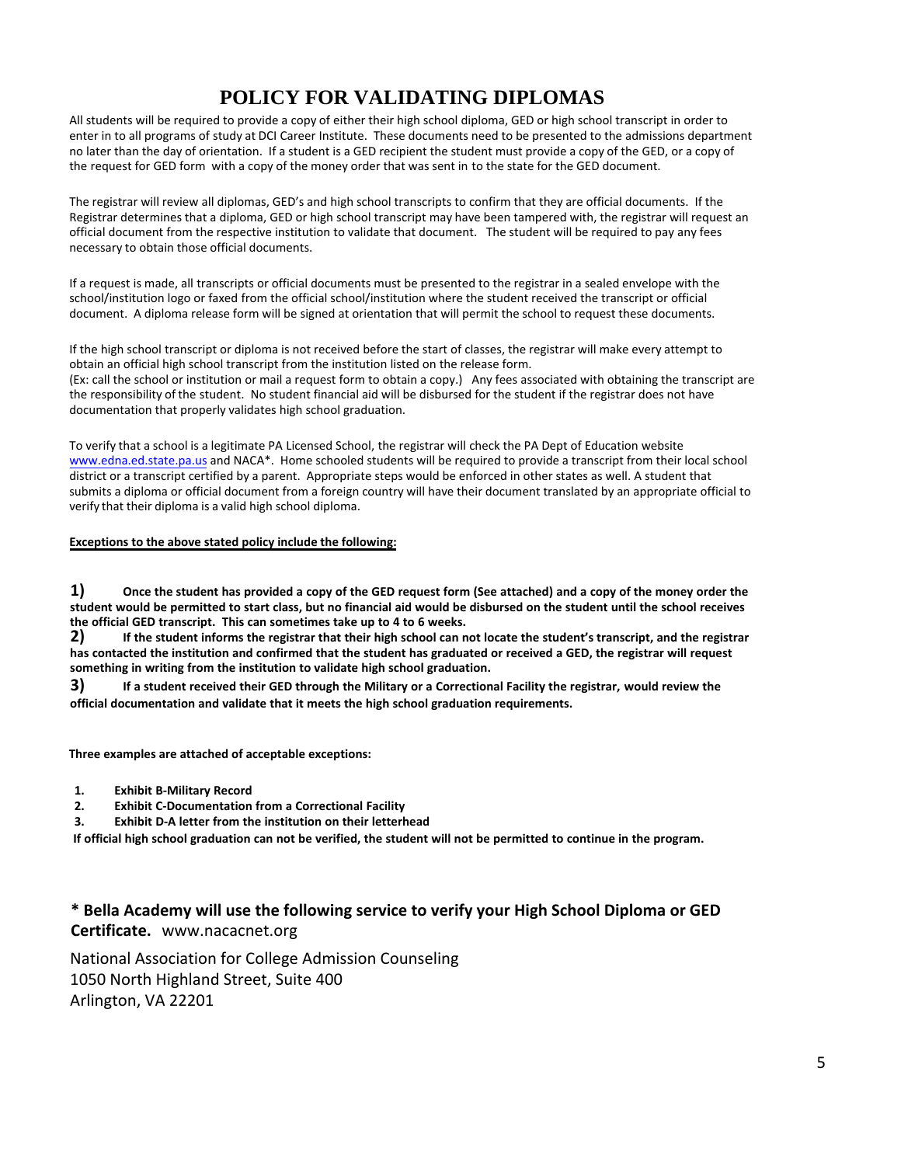## **POLICY FOR VALIDATING DIPLOMAS**

All students will be required to provide a copy of either their high school diploma, GED or high school transcript in order to enter in to all programs of study at DCI Career Institute. These documents need to be presented to the admissions department no later than the day of orientation. If a student is a GED recipient the student must provide a copy of the GED, or a copy of the request for GED form with a copy of the money order that was sent in to the state for the GED document.

The registrar will review all diplomas, GED's and high school transcripts to confirm that they are official documents. If the Registrar determines that a diploma, GED or high school transcript may have been tampered with, the registrar will request an official document from the respective institution to validate that document. The student will be required to pay any fees necessary to obtain those official documents.

If a request is made, all transcripts or official documents must be presented to the registrar in a sealed envelope with the school/institution logo or faxed from the official school/institution where the student received the transcript or official document. A diploma release form will be signed at orientation that will permit the school to request these documents.

If the high school transcript or diploma is not received before the start of classes, the registrar will make every attempt to obtain an official high school transcript from the institution listed on the release form. (Ex: call the school or institution or mail a request form to obtain a copy.) Any fees associated with obtaining the transcript are the responsibility of the student. No student financial aid will be disbursed for the student if the registrar does not have documentation that properly validates high school graduation.

To verify that a school is a legitimate PA Licensed School, the registrar will check the PA Dept of Education website www.edna.ed.state.pa.us and NACA\*. Home schooled students will be required to provide a transcript from their local school district or a transcript certified by a parent. Appropriate steps would be enforced in other states as well. A student that submits a diploma or official document from a foreign country will have their document translated by an appropriate official to verify that their diploma is a valid high school diploma.

#### **Exceptions to the above stated policy include the following:**

**1) Once the student has provided a copy of the GED request form (See attached) and a copy of the money order the student would be permitted to start class, but no financial aid would be disbursed on the student until the school receives the official GED transcript. This can sometimes take up to 4 to 6 weeks.**

**2) If the student informs the registrar that their high school can not locate the student's transcript, and the registrar has contacted the institution and confirmed that the student has graduated or received a GED, the registrar will request something in writing from the institution to validate high school graduation.**

**3) If a student received their GED through the Military or a Correctional Facility the registrar, would review the official documentation and validate that it meets the high school graduation requirements.**

**Three examples are attached of acceptable exceptions:**

- **1. Exhibit B-Military Record**
- **2. Exhibit C-Documentation from a Correctional Facility**
- **3. Exhibit D-A letter from the institution on their letterhead**

**If official high school graduation can not be verified, the student will not be permitted to continue in the program.**

### **\* Bella Academy will use the following service to verify your High School Diploma or GED Certificate.** www.nacacnet.org

National Association for College Admission Counseling 1050 North Highland Street, Suite 400 Arlington, VA 22201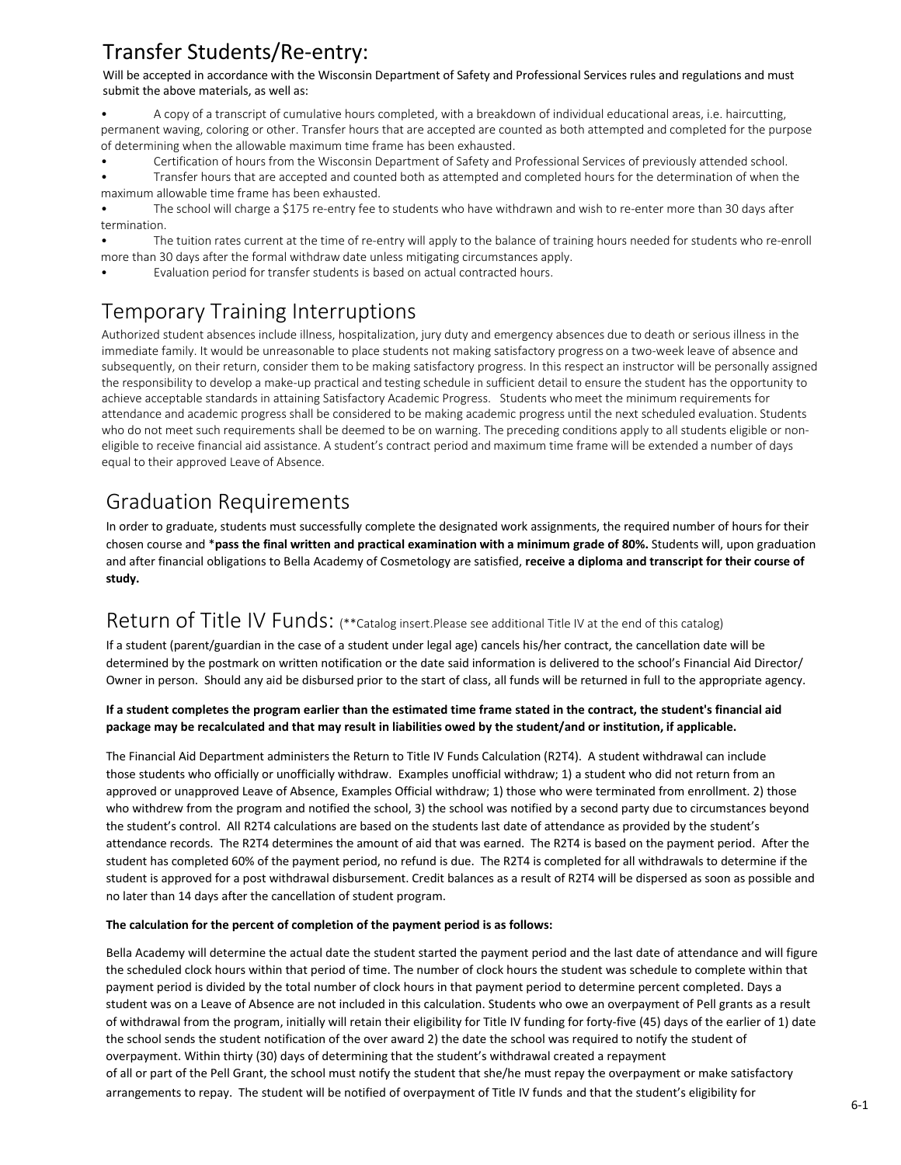# Transfer Students/Re-entry:

Will be accepted in accordance with the Wisconsin Department of Safety and Professional Services rules and regulations and must submit the above materials, as well as:

<span id="page-5-0"></span>• A copy of a transcript of cumulative hours completed, with a breakdown of individual educational areas, i.e. haircutting, permanent waving, coloring or other. Transfer hours that are accepted are counted as both attempted and completed for the purpose of determining when the allowable maximum time frame has been exhausted.

• Certification of hours from the Wisconsin Department of Safety and Professional Services of previously attended school.

• Transfer hours that are accepted and counted both as attempted and completed hours for the determination of when the maximum allowable time frame has been exhausted.

The school will charge a \$175 re-entry fee to students who have withdrawn and wish to re-enter more than 30 days after termination.

<span id="page-5-1"></span>• The tuition rates current at the time of re-entry will apply to the balance of training hours needed for students who re-enroll more than 30 days after the formal withdraw date unless mitigating circumstances apply.

Evaluation period for transfer students is based on actual contracted hours.

# Temporary Training Interruptions

Authorized student absences include illness, hospitalization, jury duty and emergency absences due to death or serious illness in the immediate family. It would be unreasonable to place students not making satisfactory progress on a two-week leave of absence and subsequently, on their return, consider them to be making satisfactory progress. In this respect an instructor will be personally assigned the responsibility to develop a make-up practical and testing schedule in sufficient detail to ensure the student has the opportunity to achieve acceptable standards in attaining Satisfactory Academic Progress. Students whomeet the minimum requirements for attendance and academic progress shall be considered to be making academic progress until the next scheduled evaluation. Students who do not meet such requirements shall be deemed to be on warning. The preceding conditions apply to all students eligible or noneligible to receive financial aid assistance. A student's contract period and maximum time frame will be extended a number of days equal to their approved Leave of Absence.

# <span id="page-5-2"></span>Graduation Requirements

In order to graduate, students must successfully complete the designated work assignments, the required number of hours for their chosen course and \***pass the final written and practical examination with a minimum grade of 80%.** Students will, upon graduation and after financial obligations to Bella Academy of Cosmetology are satisfied, **receive a diploma and transcript for their course of study.** 

## <span id="page-5-3"></span>Return of Title IV Funds: (\*\*Catalog insert.Please see additional Title IV at the end of this catalog)

If a student (parent/guardian in the case of a student under legal age) cancels his/her contract, the cancellation date will be determined by the postmark on written notification or the date said information is delivered to the school's Financial Aid Director/ Owner in person. Should any aid be disbursed prior to the start of class, all funds will be returned in full to the appropriate agency.

#### **If a student completes the program earlier than the estimated time frame stated in the contract, the student's financial aid package may be recalculated and that may result in liabilities owed by the student/and or institution, if applicable.**

The Financial Aid Department administers the Return to Title IV Funds Calculation (R2T4). A student withdrawal can include those students who officially or unofficially withdraw. Examples unofficial withdraw; 1) a student who did not return from an approved or unapproved Leave of Absence, Examples Official withdraw; 1) those who were terminated from enrollment. 2) those who withdrew from the program and notified the school, 3) the school was notified by a second party due to circumstances beyond the student's control. All R2T4 calculations are based on the students last date of attendance as provided by the student's attendance records. The R2T4 determines the amount of aid that was earned. The R2T4 is based on the payment period. After the student has completed 60% of the payment period, no refund is due. The R2T4 is completed for all withdrawals to determine if the student is approved for a post withdrawal disbursement. Credit balances as a result of R2T4 will be dispersed as soon as possible and no later than 14 days after the cancellation of student program.

#### **The calculation for the percent of completion of the payment period is as follows:**

Bella Academy will determine the actual date the student started the payment period and the last date of attendance and will figure the scheduled clock hours within that period of time. The number of clock hours the student was schedule to complete within that payment period is divided by the total number of clock hours in that payment period to determine percent completed. Days a student was on a Leave of Absence are not included in this calculation. Students who owe an overpayment of Pell grants as a result of withdrawal from the program, initially will retain their eligibility for Title IV funding for forty-five (45) days of the earlier of 1) date the school sends the student notification of the over award 2) the date the school was required to notify the student of overpayment. Within thirty (30) days of determining that the student's withdrawal created a repayment of all or part of the Pell Grant, the school must notify the student that she/he must repay the overpayment or make satisfactory arrangements to repay. The student will be notified of overpayment of Title IV funds and that the student's eligibility for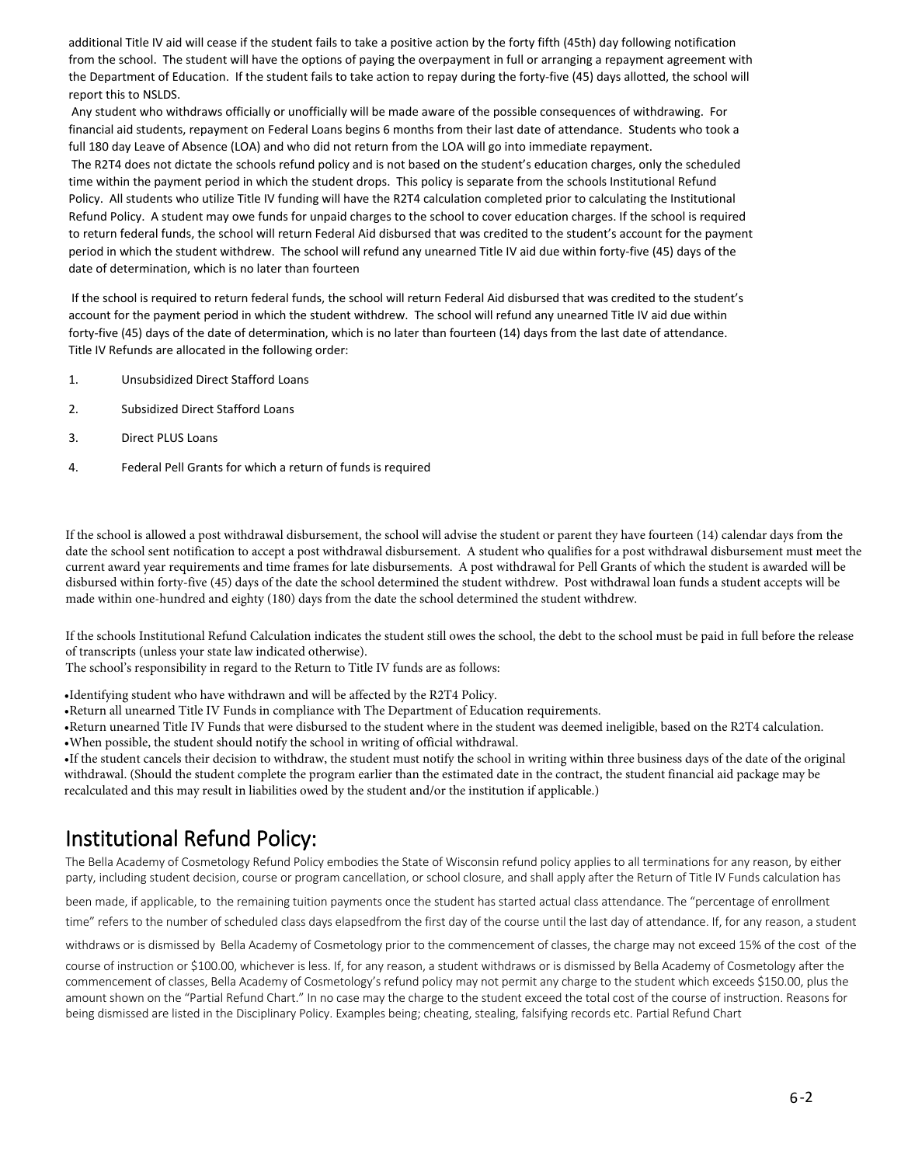additional Title IV aid will cease if the student fails to take a positive action by the forty fifth (45th) day following notification from the school. The student will have the options of paying the overpayment in full or arranging a repayment agreement with the Department of Education. If the student fails to take action to repay during the forty-five (45) days allotted, the school will report this to NSLDS.

 Any student who withdraws officially or unofficially will be made aware of the possible consequences of withdrawing. For financial aid students, repayment on Federal Loans begins 6 months from their last date of attendance. Students who took a full 180 day Leave of Absence (LOA) and who did not return from the LOA will go into immediate repayment.

 The R2T4 does not dictate the schools refund policy and is not based on the student's education charges, only the scheduled time within the payment period in which the student drops. This policy is separate from the schools Institutional Refund Policy. All students who utilize Title IV funding will have the R2T4 calculation completed prior to calculating the Institutional Refund Policy. A student may owe funds for unpaid charges to the school to cover education charges. If the school is required to return federal funds, the school will return Federal Aid disbursed that was credited to the student's account for the payment period in which the student withdrew. The school will refund any unearned Title IV aid due within forty-five (45) days of the date of determination, which is no later than fourteen

If the school is required to return federal funds, the school will return Federal Aid disbursed that was credited to the student's account for the payment period in which the student withdrew. The school will refund any unearned Title IV aid due within forty-five (45) days of the date of determination, which is no later than fourteen (14) days from the last date of attendance. Title IV Refunds are allocated in the following order:

- 1. Unsubsidized Direct Stafford Loans
- 2. Subsidized Direct Stafford Loans
- 3. Direct PLUS Loans
- 4. Federal Pell Grants for which a return of funds is required

If the school is allowed a post withdrawal disbursement, the school will advise the student or parent they have fourteen (14) calendar days from the date the school sent notification to accept a post withdrawal disbursement. A student who qualifies for a post withdrawal disbursement must meet the current award year requirements and time frames for late disbursements. A post withdrawal for Pell Grants of which the student is awarded will be disbursed within forty-five (45) days of the date the school determined the student withdrew. Post withdrawal loan funds a student accepts will be made within one-hundred and eighty (180) days from the date the school determined the student withdrew.

If the schools Institutional Refund Calculation indicates the student still owes the school, the debt to the school must be paid in full before the release of transcripts (unless your state law indicated otherwise).

The school's responsibility in regard to the Return to Title IV funds are as follows:

•Identifying student who have withdrawn and will be affected by the R2T4 Policy.

•Return all unearned Title IV Funds in compliance with The Department of Education requirements.

•Return unearned Title IV Funds that were disbursed to the student where in the student was deemed ineligible, based on the R2T4 calculation. •When possible, the student should notify the school in writing of official withdrawal.

•If the student cancels their decision to withdraw, the student must notify the school in writing within three business days of the date of the original withdrawal. (Should the student complete the program earlier than the estimated date in the contract, the student financial aid package may be recalculated and this may result in liabilities owed by the student and/or the institution if applicable.)

## Institutional Refund Policy:

The Bella Academy of Cosmetology Refund Policy embodies the State of Wisconsin refund policy applies to all terminations for any reason, by either party, including student decision, course or program cancellation, or school closure, and shall apply after the Return of Title IV Funds calculation has

been made, if applicable, to the remaining tuition payments once the student has started actual class attendance. The "percentage of enrollment

time" refers to the number of scheduled class days elapsedfrom the first day of the course until the last day of attendance. If, for any reason, a student

<span id="page-6-0"></span>withdraws or is dismissed by Bella Academy of Cosmetology prior to the commencement of classes, the charge may not exceed 15% of the cost of the

course of instruction or \$100.00, whichever is less. If, for any reason, a student withdraws or is dismissed by Bella Academy of Cosmetology after the commencement of classes, Bella Academy of Cosmetology's refund policy may not permit any charge to the student which exceeds \$150.00, plus the amount shown on the "Partial Refund Chart." In no case may the charge to the student exceed the total cost of the course of instruction. Reasons for being dismissed are listed in the Disciplinary Policy. Examples being; cheating, stealing, falsifying records etc. Partial Refund Chart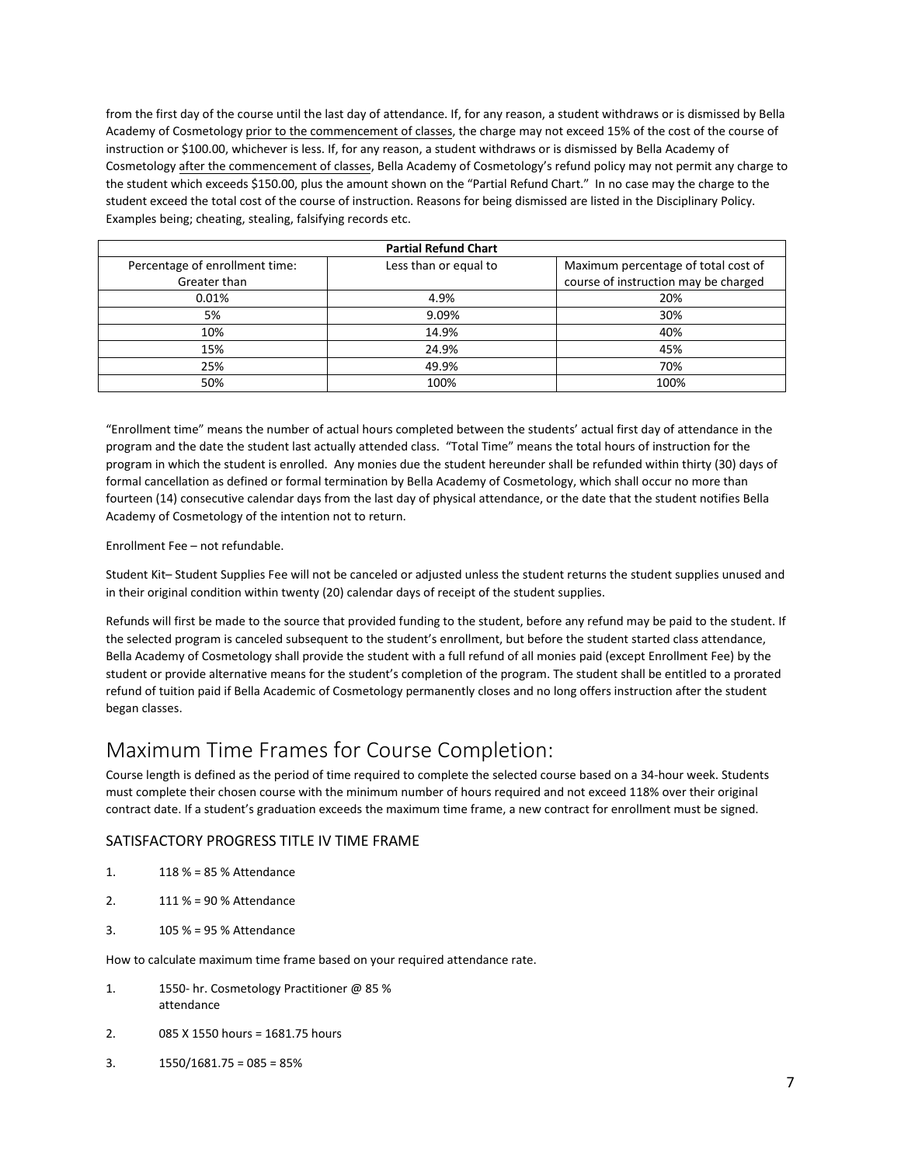from the first day of the course until the last day of attendance. If, for any reason, a student withdraws or is dismissed by Bella Academy of Cosmetology prior to the commencement of classes, the charge may not exceed 15% of the cost of the course of instruction or \$100.00, whichever is less. If, for any reason, a student withdraws or is dismissed by Bella Academy of Cosmetology after the commencement of classes, Bella Academy of Cosmetology's refund policy may not permit any charge to the student which exceeds \$150.00, plus the amount shown on the "Partial Refund Chart." In no case may the charge to the student exceed the total cost of the course of instruction. Reasons for being dismissed are listed in the Disciplinary Policy. Examples being; cheating, stealing, falsifying records etc.

| <b>Partial Refund Chart</b>    |                       |                                      |  |
|--------------------------------|-----------------------|--------------------------------------|--|
| Percentage of enrollment time: | Less than or equal to | Maximum percentage of total cost of  |  |
| Greater than                   |                       | course of instruction may be charged |  |
| 0.01%                          | 4.9%                  | 20%                                  |  |
| 5%                             | 9.09%                 | 30%                                  |  |
| 10%                            | 14.9%                 | 40%                                  |  |
| 15%                            | 24.9%                 | 45%                                  |  |
| 25%                            | 49.9%                 | 70%                                  |  |
| 50%                            | 100%                  | 100%                                 |  |

"Enrollment time" means the number of actual hours completed between the students' actual first day of attendance in the program and the date the student last actually attended class. "Total Time" means the total hours of instruction for the program in which the student is enrolled. Any monies due the student hereunder shall be refunded within thirty (30) days of formal cancellation as defined or formal termination by Bella Academy of Cosmetology, which shall occur no more than fourteen (14) consecutive calendar days from the last day of physical attendance, or the date that the student notifies Bella Academy of Cosmetology of the intention not to return.

Enrollment Fee – not refundable.

Student Kit– Student Supplies Fee will not be canceled or adjusted unless the student returns the student supplies unused and in their original condition within twenty (20) calendar days of receipt of the student supplies.

Refunds will first be made to the source that provided funding to the student, before any refund may be paid to the student. If the selected program is canceled subsequent to the student's enrollment, but before the student started class attendance, Bella Academy of Cosmetology shall provide the student with a full refund of all monies paid (except Enrollment Fee) by the student or provide alternative means for the student's completion of the program. The student shall be entitled to a prorated refund of tuition paid if Bella Academic of Cosmetology permanently closes and no long offers instruction after the student began classes.

## <span id="page-7-0"></span>Maximum Time Frames for Course Completion:

Course length is defined as the period of time required to complete the selected course based on a 34-hour week. Students must complete their chosen course with the minimum number of hours required and not exceed 118% over their original contract date. If a student's graduation exceeds the maximum time frame, a new contract for enrollment must be signed.

#### SATISFACTORY PROGRESS TITLE IV TIME FRAME

- 1. 118 % = 85 % Attendance
- 2. 111 % = 90 % Attendance
- 3. 105 % = 95 % Attendance

How to calculate maximum time frame based on your required attendance rate.

- 1. 1550- hr. Cosmetology Practitioner @ 85 % attendance
- 2. 085 X 1550 hours = 1681.75 hours
- 3.  $1550/1681.75 = 085 = 85\%$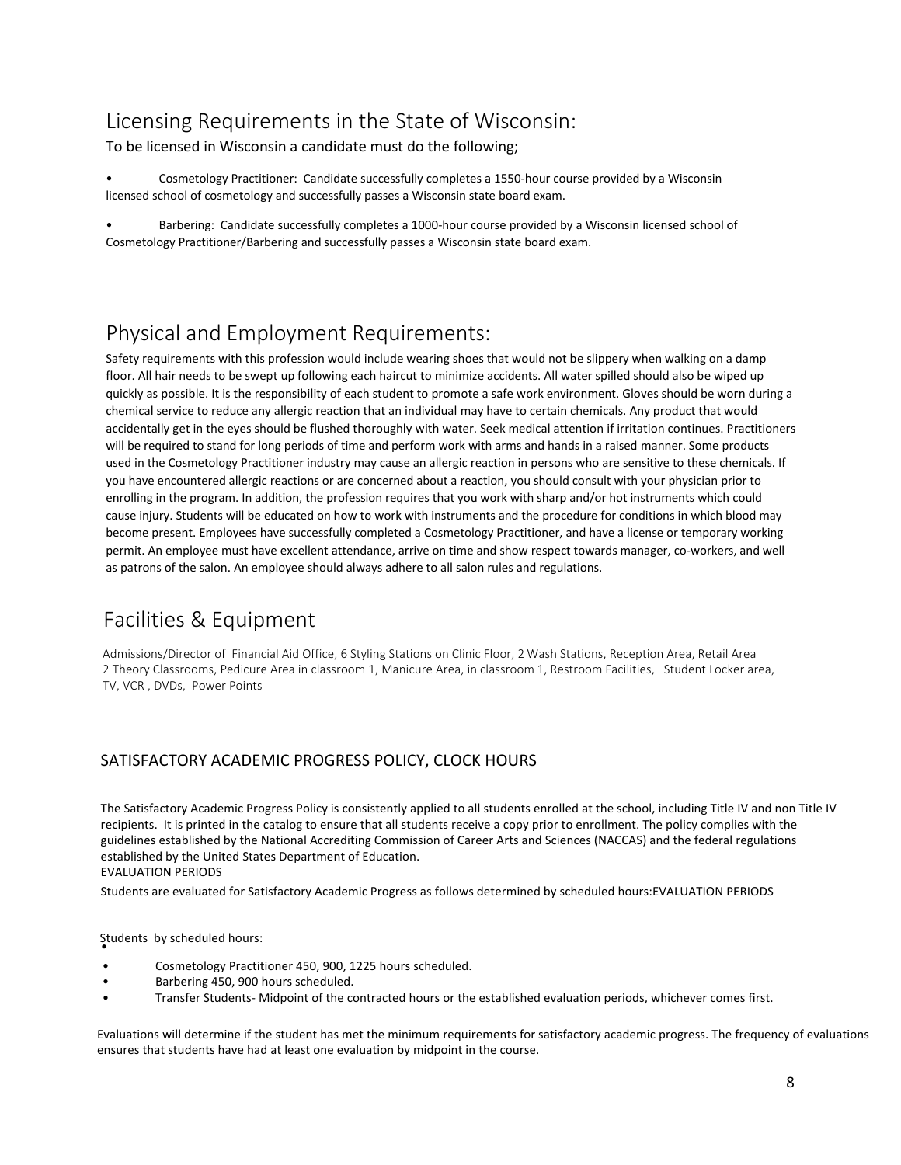# <span id="page-8-0"></span>Licensing Requirements in the State of Wisconsin:

To be licensed in Wisconsin a candidate must do the following;

• Cosmetology Practitioner: Candidate successfully completes a 1550-hour course provided by a Wisconsin licensed school of cosmetology and successfully passes a Wisconsin state board exam.

• Barbering: Candidate successfully completes a 1000-hour course provided by a Wisconsin licensed school of Cosmetology Practitioner/Barbering and successfully passes a Wisconsin state board exam.

# <span id="page-8-1"></span>Physical and Employment Requirements:

Safety requirements with this profession would include wearing shoes that would not be slippery when walking on a damp floor. All hair needs to be swept up following each haircut to minimize accidents. All water spilled should also be wiped up quickly as possible. It is the responsibility of each student to promote a safe work environment. Gloves should be worn during a chemical service to reduce any allergic reaction that an individual may have to certain chemicals. Any product that would accidentally get in the eyes should be flushed thoroughly with water. Seek medical attention if irritation continues. Practitioners will be required to stand for long periods of time and perform work with arms and hands in a raised manner. Some products used in the Cosmetology Practitioner industry may cause an allergic reaction in persons who are sensitive to these chemicals. If you have encountered allergic reactions or are concerned about a reaction, you should consult with your physician prior to enrolling in the program. In addition, the profession requires that you work with sharp and/or hot instruments which could cause injury. Students will be educated on how to work with instruments and the procedure for conditions in which blood may become present. Employees have successfully completed a Cosmetology Practitioner, and have a license or temporary working permit. An employee must have excellent attendance, arrive on time and show respect towards manager, co-workers, and well as patrons of the salon. An employee should always adhere to all salon rules and regulations.

## <span id="page-8-2"></span>Facilities & Equipment

Admissions/Director of Financial Aid Office, 6 Styling Stations on Clinic Floor, 2 Wash Stations, Reception Area, Retail Area 2 Theory Classrooms, Pedicure Area in classroom 1, Manicure Area, in classroom 1, Restroom Facilities, Student Locker area, TV, VCR , DVDs, Power Points

### <span id="page-8-3"></span>SATISFACTORY ACADEMIC PROGRESS POLICY, CLOCK HOURS

The Satisfactory Academic Progress Policy is consistently applied to all students enrolled at the school, including Title IV and non Title IV recipients. It is printed in the catalog to ensure that all students receive a copy prior to enrollment. The policy complies with the guidelines established by the National Accrediting Commission of Career Arts and Sciences (NACCAS) and the federal regulations established by the United States Department of Education.

EVALUATION PERIODS

Students are evaluated for Satisfactory Academic Progress as follows determined by scheduled hours:EVALUATION PERIODS

Students by scheduled hours:<br>•

- Cosmetology Practitioner 450, 900, 1225 hours scheduled.
- Barbering 450, 900 hours scheduled.
- Transfer Students- Midpoint of the contracted hours or the established evaluation periods, whichever comes first.

Evaluations will determine if the student has met the minimum requirements for satisfactory academic progress. The frequency of evaluations ensures that students have had at least one evaluation by midpoint in the course.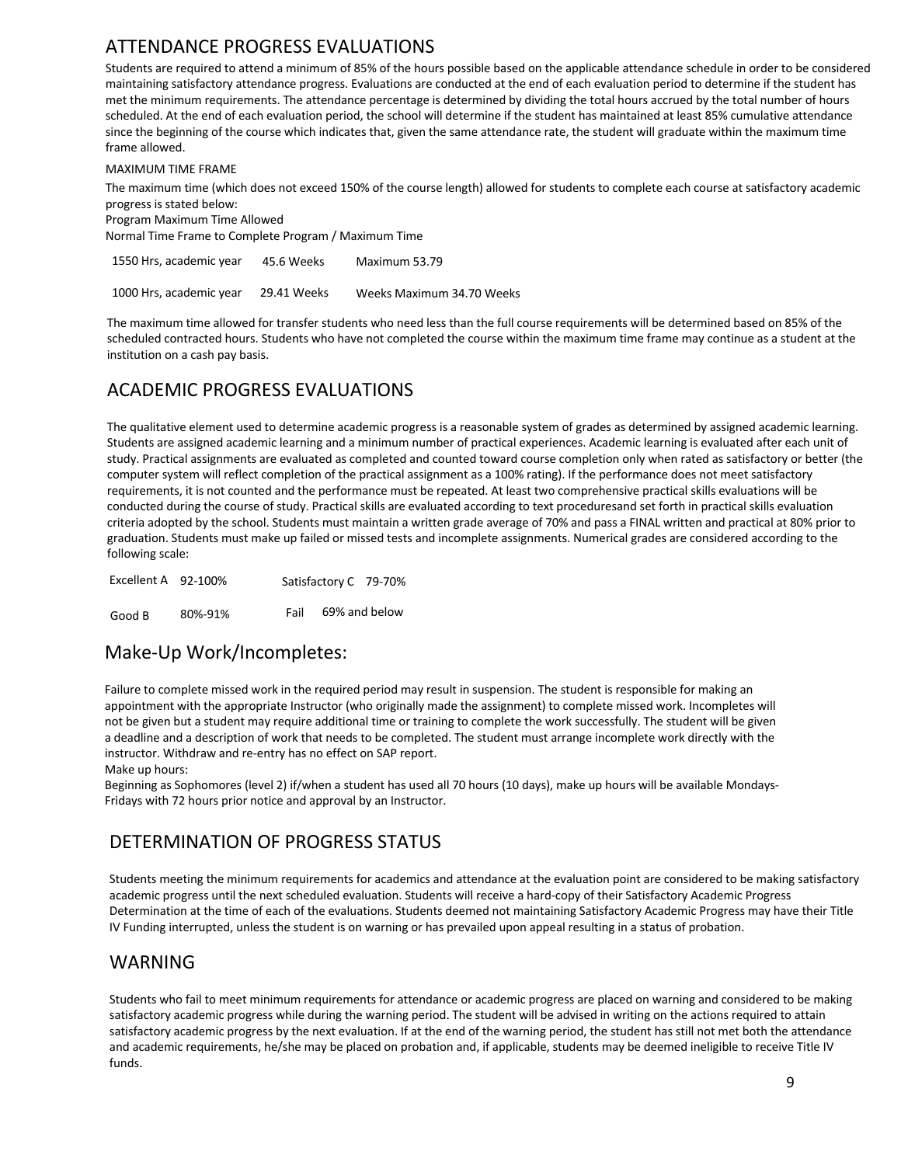## ATTENDANCE PROGRESS EVALUATIONS

<span id="page-9-0"></span>Students are required to attend a minimum of 85% of the hours possible based on the applicable attendance schedule in order to be considered maintaining satisfactory attendance progress. Evaluations are conducted at the end of each evaluation period to determine if the student has met the minimum requirements. The attendance percentage is determined by dividing the total hours accrued by the total number of hours scheduled. At the end of each evaluation period, the school will determine if the student has maintained at least 85% cumulative attendance since the beginning of the course which indicates that, given the same attendance rate, the student will graduate within the maximum time frame allowed.

MAXIMUM TIME FRAME

The maximum time (which does not exceed 150% of the course length) allowed for students to complete each course at satisfactory academic progress is stated below:

Program Maximum Time Allowed

Normal Time Frame to Complete Program / Maximum Time

<span id="page-9-1"></span>

| 1550 Hrs, academic year | 45.6 Weeks  | Maximum 53.79             |
|-------------------------|-------------|---------------------------|
| 1000 Hrs, academic year | 29.41 Weeks | Weeks Maximum 34.70 Weeks |

The maximum time allowed for transfer students who need less than the full course requirements will be determined based on 85% of the scheduled contracted hours. Students who have not completed the course within the maximum time frame may continue as a student at the institution on a cash pay basis.

## <span id="page-9-2"></span>ACADEMIC PROGRESS EVALUATIONS

The qualitative element used to determine academic progress is a reasonable system of grades as determined by assigned academic learning. Students are assigned academic learning and a minimum number of practical experiences. Academic learning is evaluated after each unit of study. Practical assignments are evaluated as completed and counted toward course completion only when rated as satisfactory or better (the computer system will reflect completion of the practical assignment as a 100% rating). If the performance does not meet satisfactory requirements, it is not counted and the performance must be repeated. At least two comprehensive practical skills evaluations will be conducted during the course of study. Practical skills are evaluated according to text proceduresand set forth in practical skills evaluation criteria adopted by the school. Students must maintain a written grade average of 70% and pass a FINAL written and practical at 80% prior to graduation. Students must make up failed or missed tests and incomplete assignments. Numerical grades are considered according to the following scale:

<span id="page-9-4"></span><span id="page-9-3"></span>

| Excellent A 92-100% |         | Satisfactory C 79-70% |               |
|---------------------|---------|-----------------------|---------------|
| Good B              | 80%-91% | Fail                  | 69% and below |

### Make-Up Work/Incompletes:

Failure to complete missed work in the required period may result in suspension. The student is responsible for making an appointment with the appropriate Instructor (who originally made the assignment) to complete missed work. Incompletes will not be given but a student may require additional time or training to complete the work successfully. The student will be given a deadline and a description of work that needs to be completed. The student must arrange incomplete work directly with the instructor. Withdraw and re-entry has no effect on SAP report. Make up hours:

<span id="page-9-5"></span>Beginning as Sophomores (level 2) if/when a student has used all 70 hours (10 days), make up hours will be available Mondays-Fridays with 72 hours prior notice and approval by an Instructor.

### DETERMINATION OF PROGRESS STATUS

Students meeting the minimum requirements for academics and attendance at the evaluation point are considered to be making satisfactory academic progress until the next scheduled evaluation. Students will receive a hard-copy of their Satisfactory Academic Progress Determination at the time of each of the evaluations. Students deemed not maintaining Satisfactory Academic Progress may have their Title IV Funding interrupted, unless the student is on warning or has prevailed upon appeal resulting in a status of probation.

### WARNING

Students who fail to meet minimum requirements for attendance or academic progress are placed on warning and considered to be making satisfactory academic progress while during the warning period. The student will be advised in writing on the actions required to attain satisfactory academic progress by the next evaluation. If at the end of the warning period, the student has still not met both the attendance and academic requirements, he/she may be placed on probation and, if applicable, students may be deemed ineligible to receive Title IV funds.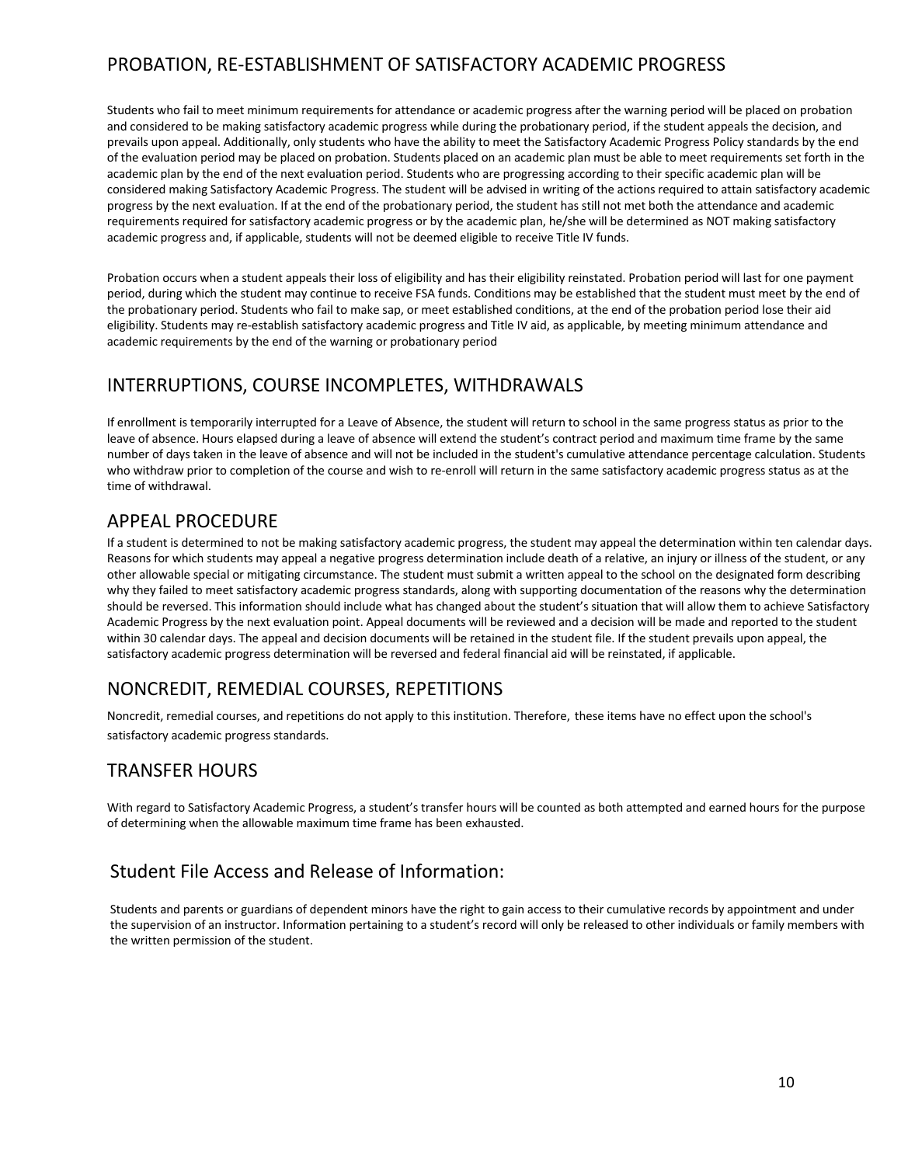## PROBATION, RE-ESTABLISHMENT OF SATISFACTORY ACADEMIC PROGRESS

Students who fail to meet minimum requirements for attendance or academic progress after the warning period will be placed on probation and considered to be making satisfactory academic progress while during the probationary period, if the student appeals the decision, and prevails upon appeal. Additionally, only students who have the ability to meet the Satisfactory Academic Progress Policy standards by the end of the evaluation period may be placed on probation. Students placed on an academic plan must be able to meet requirements set forth in the academic plan by the end of the next evaluation period. Students who are progressing according to their specific academic plan will be considered making Satisfactory Academic Progress. The student will be advised in writing of the actions required to attain satisfactory academic progress by the next evaluation. If at the end of the probationary period, the student has still not met both the attendance and academic requirements required for satisfactory academic progress or by the academic plan, he/she will be determined as NOT making satisfactory academic progress and, if applicable, students will not be deemed eligible to receive Title IV funds.

<span id="page-10-0"></span>Probation occurs when a student appeals their loss of eligibility and has their eligibility reinstated. Probation period will last for one payment period, during which the student may continue to receive FSA funds. Conditions may be established that the student must meet by the end of the probationary period. Students who fail to make sap, or meet established conditions, at the end of the probation period lose their aid eligibility. Students may re-establish satisfactory academic progress and Title IV aid, as applicable, by meeting minimum attendance and academic requirements by the end of the warning or probationary period

### <span id="page-10-1"></span>INTERRUPTIONS, COURSE INCOMPLETES, WITHDRAWALS

If enrollment is temporarily interrupted for a Leave of Absence, the student will return to school in the same progress status as prior to the leave of absence. Hours elapsed during a leave of absence will extend the student's contract period and maximum time frame by the same number of days taken in the leave of absence and will not be included in the student's cumulative attendance percentage calculation. Students who withdraw prior to completion of the course and wish to re-enroll will return in the same satisfactory academic progress status as at the time of withdrawal.

### APPEAL PROCEDURE

If a student is determined to not be making satisfactory academic progress, the student may appeal the determination within ten calendar days. Reasons for which students may appeal a negative progress determination include death of a relative, an injury or illness of the student, or any other allowable special or mitigating circumstance. The student must submit a written appeal to the school on the designated form describing why they failed to meet satisfactory academic progress standards, along with supporting documentation of the reasons why the determination should be reversed. This information should include what has changed about the student's situation that will allow them to achieve Satisfactory Academic Progress by the next evaluation point. Appeal documents will be reviewed and a decision will be made and reported to the student within 30 calendar days. The appeal and decision documents will be retained in the student file. If the student prevails upon appeal, the satisfactory academic progress determination will be reversed and federal financial aid will be reinstated, if applicable.

## NONCREDIT, REMEDIAL COURSES, REPETITIONS

<span id="page-10-2"></span>Noncredit, remedial courses, and repetitions do not apply to this institution. Therefore, these items have no effect upon the school's satisfactory academic progress standards.

## TRANSFER HOURS

With regard to Satisfactory Academic Progress, a student's transfer hours will be counted as both attempted and earned hours for the purpose of determining when the allowable maximum time frame has been exhausted.

## <span id="page-10-3"></span>Student File Access and Release of Information:

Students and parents or guardians of dependent minors have the right to gain access to their cumulative records by appointment and under the supervision of an instructor. Information pertaining to a student's record will only be released to other individuals or family members with the written permission of the student.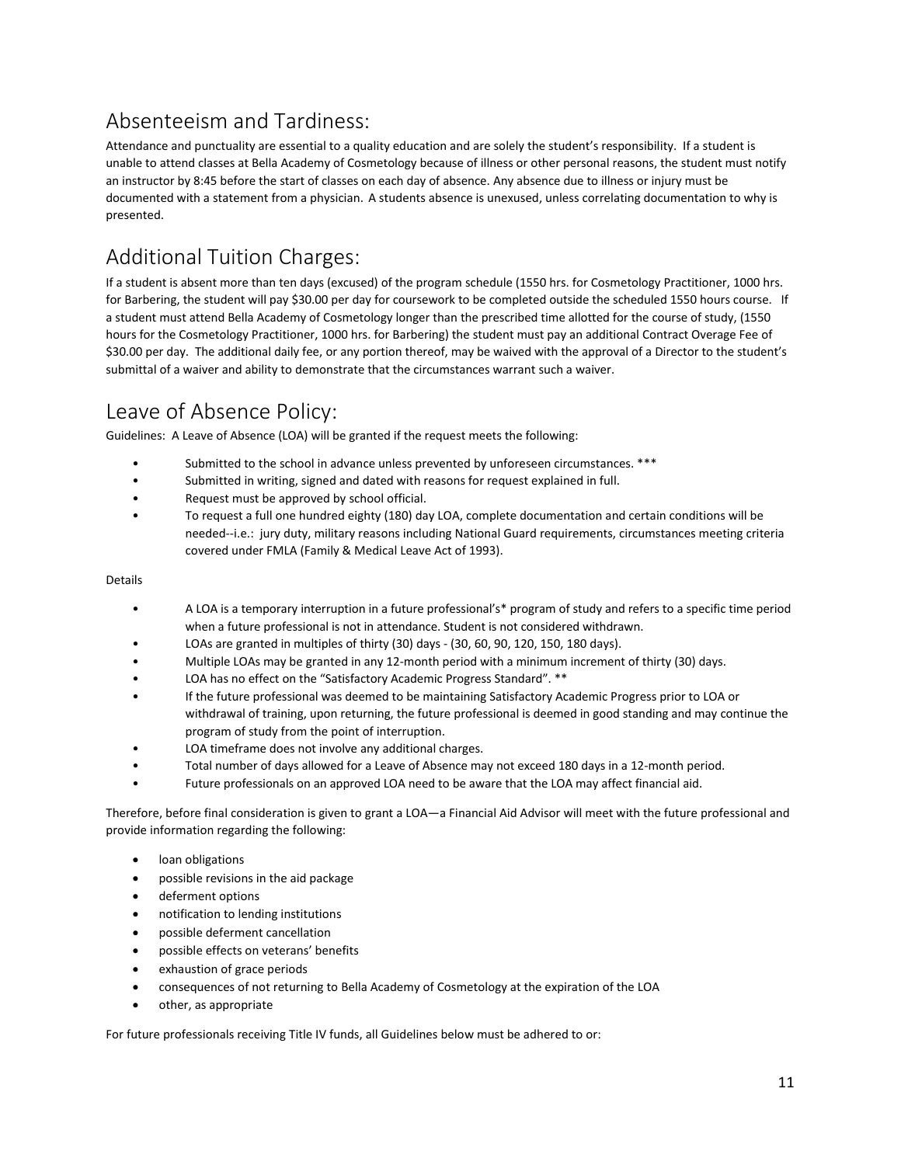# <span id="page-11-0"></span>Absenteeism and Tardiness:

Attendance and punctuality are essential to a quality education and are solely the student's responsibility. If a student is unable to attend classes at Bella Academy of Cosmetology because of illness or other personal reasons, the student must notify an instructor by 8:45 before the start of classes on each day of absence. Any absence due to illness or injury must be documented with a statement from a physician. A students absence is unexused, unless correlating documentation to why is presented.

# <span id="page-11-1"></span>Additional Tuition Charges:

If a student is absent more than ten days (excused) of the program schedule (1550 hrs. for Cosmetology Practitioner, 1000 hrs. for Barbering, the student will pay \$30.00 per day for coursework to be completed outside the scheduled 1550 hours course. If a student must attend Bella Academy of Cosmetology longer than the prescribed time allotted for the course of study, (1550 hours for the Cosmetology Practitioner, 1000 hrs. for Barbering) the student must pay an additional Contract Overage Fee of \$30.00 per day. The additional daily fee, or any portion thereof, may be waived with the approval of a Director to the student's submittal of a waiver and ability to demonstrate that the circumstances warrant such a waiver.

## <span id="page-11-2"></span>Leave of Absence Policy:

Guidelines: A Leave of Absence (LOA) will be granted if the request meets the following:

- Submitted to the school in advance unless prevented by unforeseen circumstances. \*\*\*
- Submitted in writing, signed and dated with reasons for request explained in full.
- Request must be approved by school official.
- To request a full one hundred eighty (180) day LOA, complete documentation and certain conditions will be needed--i.e.: jury duty, military reasons including National Guard requirements, circumstances meeting criteria covered under FMLA (Family & Medical Leave Act of 1993).

#### Details

- A LOA is a temporary interruption in a future professional's\* program of study and refers to a specific time period when a future professional is not in attendance. Student is not considered withdrawn.
- LOAs are granted in multiples of thirty (30) days (30, 60, 90, 120, 150, 180 days).
- Multiple LOAs may be granted in any 12-month period with a minimum increment of thirty (30) days.
- LOA has no effect on the "Satisfactory Academic Progress Standard". \*\*
- If the future professional was deemed to be maintaining Satisfactory Academic Progress prior to LOA or withdrawal of training, upon returning, the future professional is deemed in good standing and may continue the program of study from the point of interruption.
- LOA timeframe does not involve any additional charges.
- Total number of days allowed for a Leave of Absence may not exceed 180 days in a 12-month period.
- Future professionals on an approved LOA need to be aware that the LOA may affect financial aid.

Therefore, before final consideration is given to grant a LOA—a Financial Aid Advisor will meet with the future professional and provide information regarding the following:

- loan obligations
- possible revisions in the aid package
- deferment options
- notification to lending institutions
- possible deferment cancellation
- possible effects on veterans' benefits
- exhaustion of grace periods
- consequences of not returning to Bella Academy of Cosmetology at the expiration of the LOA
- other, as appropriate

For future professionals receiving Title IV funds, all Guidelines below must be adhered to or: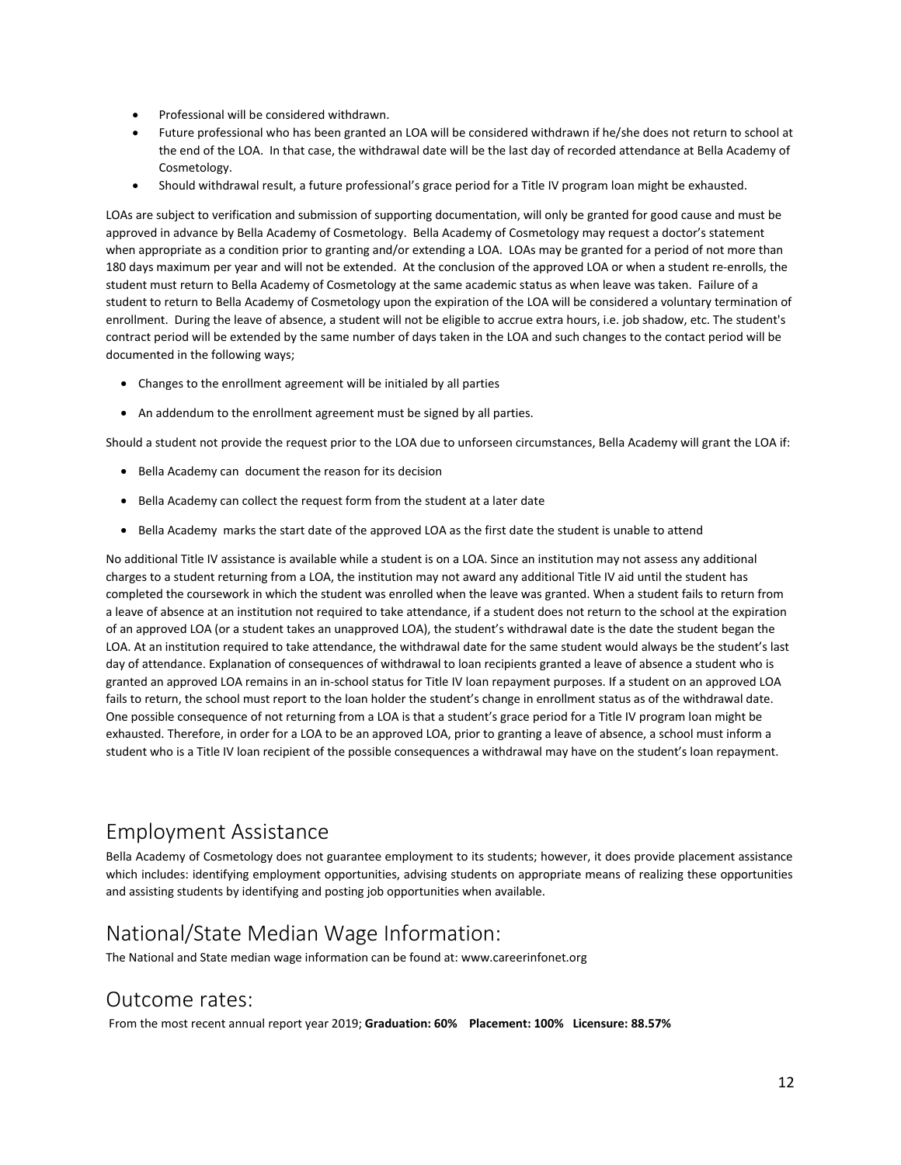- Professional will be considered withdrawn.
- Future professional who has been granted an LOA will be considered withdrawn if he/she does not return to school at the end of the LOA. In that case, the withdrawal date will be the last day of recorded attendance at Bella Academy of Cosmetology.
- Should withdrawal result, a future professional's grace period for a Title IV program loan might be exhausted.

LOAs are subject to verification and submission of supporting documentation, will only be granted for good cause and must be approved in advance by Bella Academy of Cosmetology. Bella Academy of Cosmetology may request a doctor's statement when appropriate as a condition prior to granting and/or extending a LOA. LOAs may be granted for a period of not more than 180 days maximum per year and will not be extended. At the conclusion of the approved LOA or when a student re-enrolls, the student must return to Bella Academy of Cosmetology at the same academic status as when leave was taken. Failure of a student to return to Bella Academy of Cosmetology upon the expiration of the LOA will be considered a voluntary termination of enrollment. During the leave of absence, a student will not be eligible to accrue extra hours, i.e. job shadow, etc. The student's contract period will be extended by the same number of days taken in the LOA and such changes to the contact period will be documented in the following ways;

- Changes to the enrollment agreement will be initialed by all parties
- An addendum to the enrollment agreement must be signed by all parties.

Should a student not provide the request prior to the LOA due to unforseen circumstances, Bella Academy will grant the LOA if:

- Bella Academy can document the reason for its decision
- Bella Academy can collect the request form from the student at a later date
- Bella Academy marks the start date of the approved LOA as the first date the student is unable to attend

<span id="page-12-0"></span>No additional Title IV assistance is available while a student is on a LOA. Since an institution may not assess any additional charges to a student returning from a LOA, the institution may not award any additional Title IV aid until the student has completed the coursework in which the student was enrolled when the leave was granted. When a student fails to return from a leave of absence at an institution not required to take attendance, if a student does not return to the school at the expiration of an approved LOA (or a student takes an unapproved LOA), the student's withdrawal date is the date the student began the LOA. At an institution required to take attendance, the withdrawal date for the same student would always be the student's last day of attendance. Explanation of consequences of withdrawal to loan recipients granted a leave of absence a student who is granted an approved LOA remains in an in-school status for Title IV loan repayment purposes. If a student on an approved LOA fails to return, the school must report to the loan holder the student's change in enrollment status as of the withdrawal date. One possible consequence of not returning from a LOA is that a student's grace period for a Title IV program loan might be exhausted. Therefore, in order for a LOA to be an approved LOA, prior to granting a leave of absence, a school must inform a student who is a Title IV loan recipient of the possible consequences a withdrawal may have on the student's loan repayment.

## <span id="page-12-1"></span>Employment Assistance

<span id="page-12-2"></span>Bella Academy of Cosmetology does not guarantee employment to its students; however, it does provide placement assistance which includes: identifying employment opportunities, advising students on appropriate means of realizing these opportunities and assisting students by identifying and posting job opportunities when available.

## <span id="page-12-3"></span>National/State Median Wage Information:

The National and State median wage information can be found at: www.careerinfonet.org

## Outcome rates:

From the most recent annual report year 2019; **Graduation: 60% Placement: 100% Licensure: 88.57%**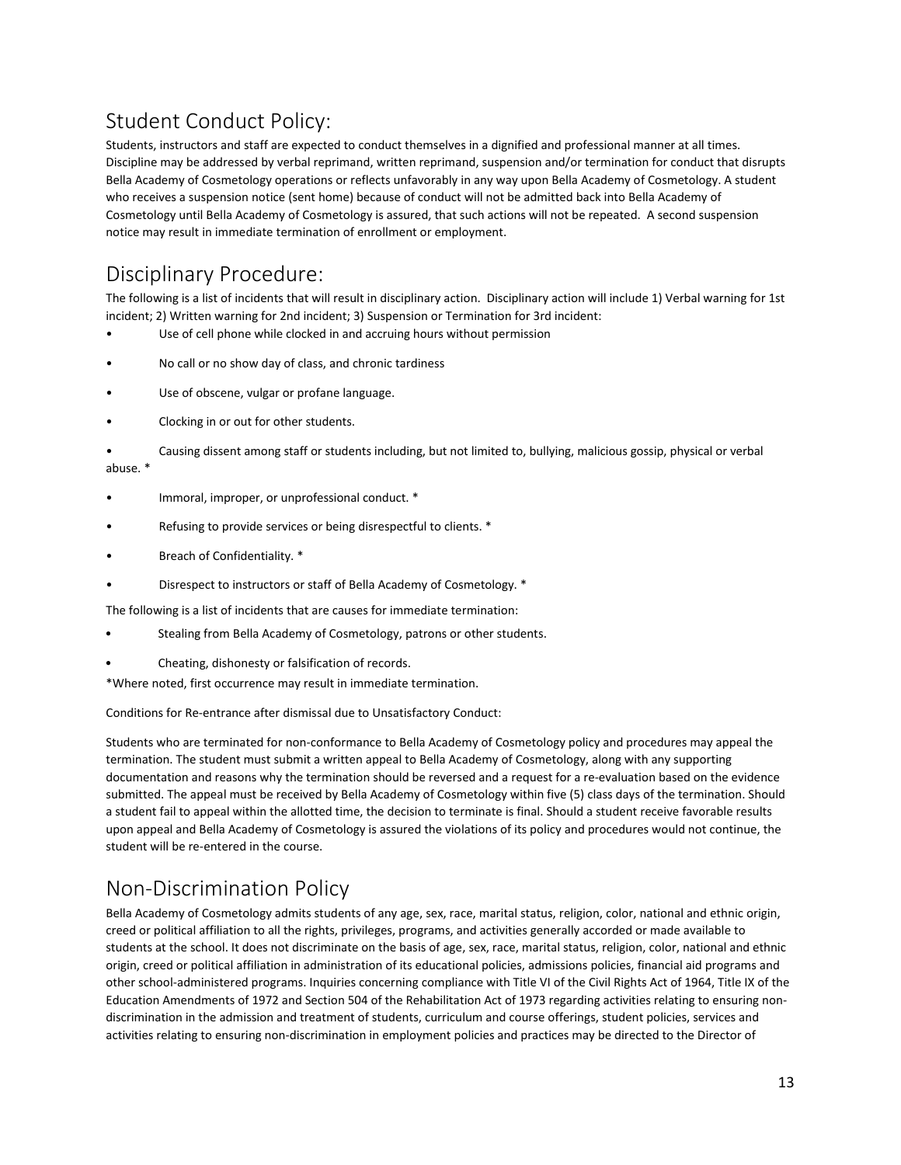# <span id="page-13-0"></span>Student Conduct Policy:

Students, instructors and staff are expected to conduct themselves in a dignified and professional manner at all times. Discipline may be addressed by verbal reprimand, written reprimand, suspension and/or termination for conduct that disrupts Bella Academy of Cosmetology operations or reflects unfavorably in any way upon Bella Academy of Cosmetology. A student who receives a suspension notice (sent home) because of conduct will not be admitted back into Bella Academy of Cosmetology until Bella Academy of Cosmetology is assured, that such actions will not be repeated. A second suspension notice may result in immediate termination of enrollment or employment.

# <span id="page-13-1"></span>Disciplinary Procedure:

The following is a list of incidents that will result in disciplinary action. Disciplinary action will include 1) Verbal warning for 1st incident; 2) Written warning for 2nd incident; 3) Suspension or Termination for 3rd incident:

- Use of cell phone while clocked in and accruing hours without permission
- No call or no show day of class, and chronic tardiness
- Use of obscene, vulgar or profane language.
- Clocking in or out for other students.
- Causing dissent among staff or students including, but not limited to, bullying, malicious gossip, physical or verbal abuse. \*
- Immoral, improper, or unprofessional conduct. \*
- Refusing to provide services or being disrespectful to clients. \*
- Breach of Confidentiality. \*
- Disrespect to instructors or staff of Bella Academy of Cosmetology. \*

The following is a list of incidents that are causes for immediate termination:

- Stealing from Bella Academy of Cosmetology, patrons or other students.
- Cheating, dishonesty or falsification of records.
- \*Where noted, first occurrence may result in immediate termination.

Conditions for Re-entrance after dismissal due to Unsatisfactory Conduct:

Students who are terminated for non-conformance to Bella Academy of Cosmetology policy and procedures may appeal the termination. The student must submit a written appeal to Bella Academy of Cosmetology, along with any supporting documentation and reasons why the termination should be reversed and a request for a re-evaluation based on the evidence submitted. The appeal must be received by Bella Academy of Cosmetology within five (5) class days of the termination. Should a student fail to appeal within the allotted time, the decision to terminate is final. Should a student receive favorable results upon appeal and Bella Academy of Cosmetology is assured the violations of its policy and procedures would not continue, the student will be re-entered in the course.

## Non-Discrimination Policy

Bella Academy of Cosmetology admits students of any age, sex, race, marital status, religion, color, national and ethnic origin, creed or political affiliation to all the rights, privileges, programs, and activities generally accorded or made available to students at the school. It does not discriminate on the basis of age, sex, race, marital status, religion, color, national and ethnic origin, creed or political affiliation in administration of its educational policies, admissions policies, financial aid programs and other school-administered programs. Inquiries concerning compliance with Title VI of the Civil Rights Act of 1964, Title IX of the Education Amendments of 1972 and Section 504 of the Rehabilitation Act of 1973 regarding activities relating to ensuring nondiscrimination in the admission and treatment of students, curriculum and course offerings, student policies, services and activities relating to ensuring non-discrimination in employment policies and practices may be directed to the Director of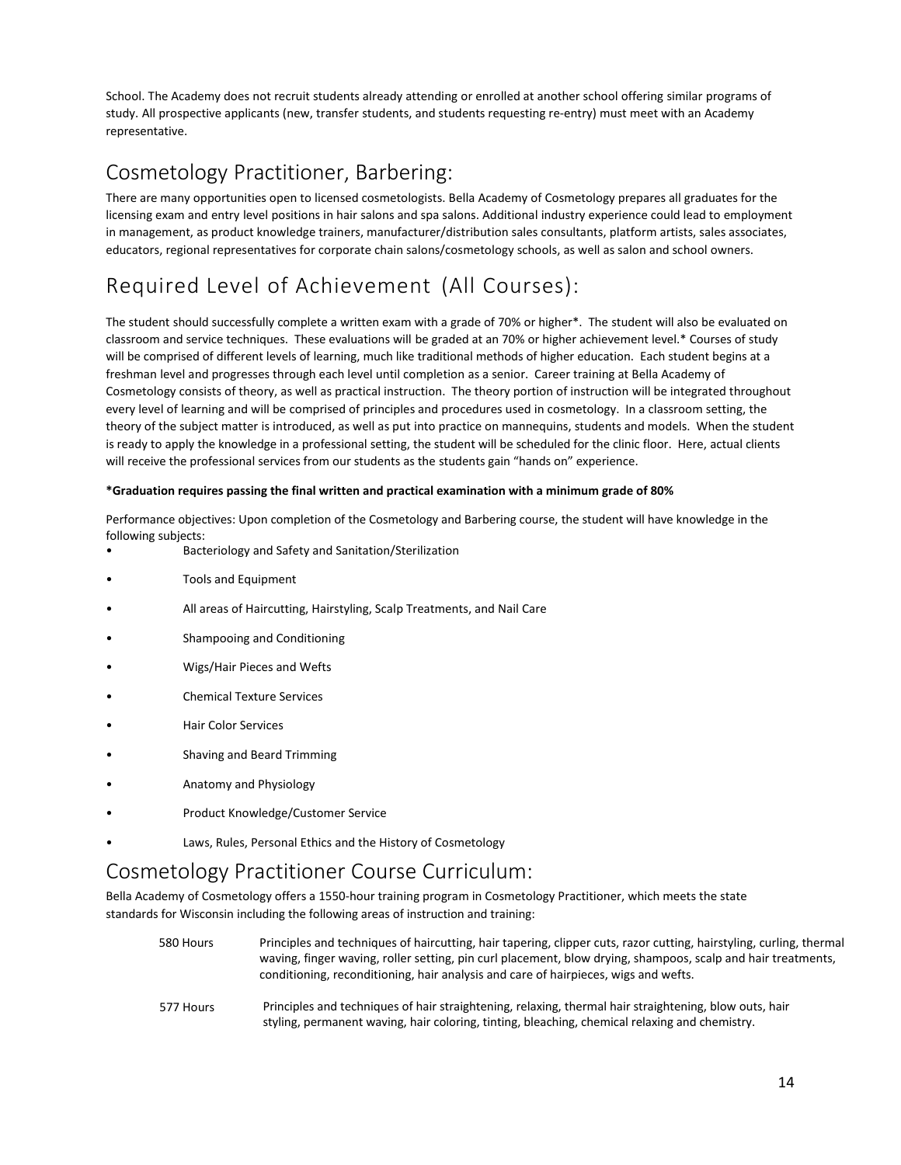School. The Academy does not recruit students already attending or enrolled at another school offering similar programs of study. All prospective applicants (new, transfer students, and students requesting re-entry) must meet with an Academy representative.

## <span id="page-14-0"></span>Cosmetology Practitioner, Barbering:

There are many opportunities open to licensed cosmetologists. Bella Academy of Cosmetology prepares all graduates for the licensing exam and entry level positions in hair salons and spa salons. Additional industry experience could lead to employment in management, as product knowledge trainers, manufacturer/distribution sales consultants, platform artists, sales associates, educators, regional representatives for corporate chain salons/cosmetology schools, as well as salon and school owners.

# <span id="page-14-1"></span>Required Level of Achievement (All Courses):

The student should successfully complete a written exam with a grade of 70% or higher\*. The student will also be evaluated on classroom and service techniques. These evaluations will be graded at an 70% or higher achievement level.\* Courses of study will be comprised of different levels of learning, much like traditional methods of higher education. Each student begins at a freshman level and progresses through each level until completion as a senior. Career training at Bella Academy of Cosmetology consists of theory, as well as practical instruction. The theory portion of instruction will be integrated throughout every level of learning and will be comprised of principles and procedures used in cosmetology. In a classroom setting, the theory of the subject matter is introduced, as well as put into practice on mannequins, students and models. When the student is ready to apply the knowledge in a professional setting, the student will be scheduled for the clinic floor. Here, actual clients will receive the professional services from our students as the students gain "hands on" experience.

#### **\*Graduation requires passing the final written and practical examination with a minimum grade of 80%**

Performance objectives: Upon completion of the Cosmetology and Barbering course, the student will have knowledge in the following subjects:

- Bacteriology and Safety and Sanitation/Sterilization
- Tools and Equipment
- All areas of Haircutting, Hairstyling, Scalp Treatments, and Nail Care
- Shampooing and Conditioning
- Wigs/Hair Pieces and Wefts
- Chemical Texture Services
- Hair Color Services
- Shaving and Beard Trimming
- Anatomy and Physiology
- Product Knowledge/Customer Service
- Laws, Rules, Personal Ethics and the History of Cosmetology

## <span id="page-14-2"></span>Cosmetology Practitioner Course Curriculum:

Bella Academy of Cosmetology offers a 1550-hour training program in Cosmetology Practitioner, which meets the state standards for Wisconsin including the following areas of instruction and training:

- 580 Hours Principles and techniques of haircutting, hair tapering, clipper cuts, razor cutting, hairstyling, curling, thermal waving, finger waving, roller setting, pin curl placement, blow drying, shampoos, scalp and hair treatments, conditioning, reconditioning, hair analysis and care of hairpieces, wigs and wefts.
- 577 Hours Principles and techniques of hair straightening, relaxing, thermal hair straightening, blow outs, hair styling, permanent waving, hair coloring, tinting, bleaching, chemical relaxing and chemistry.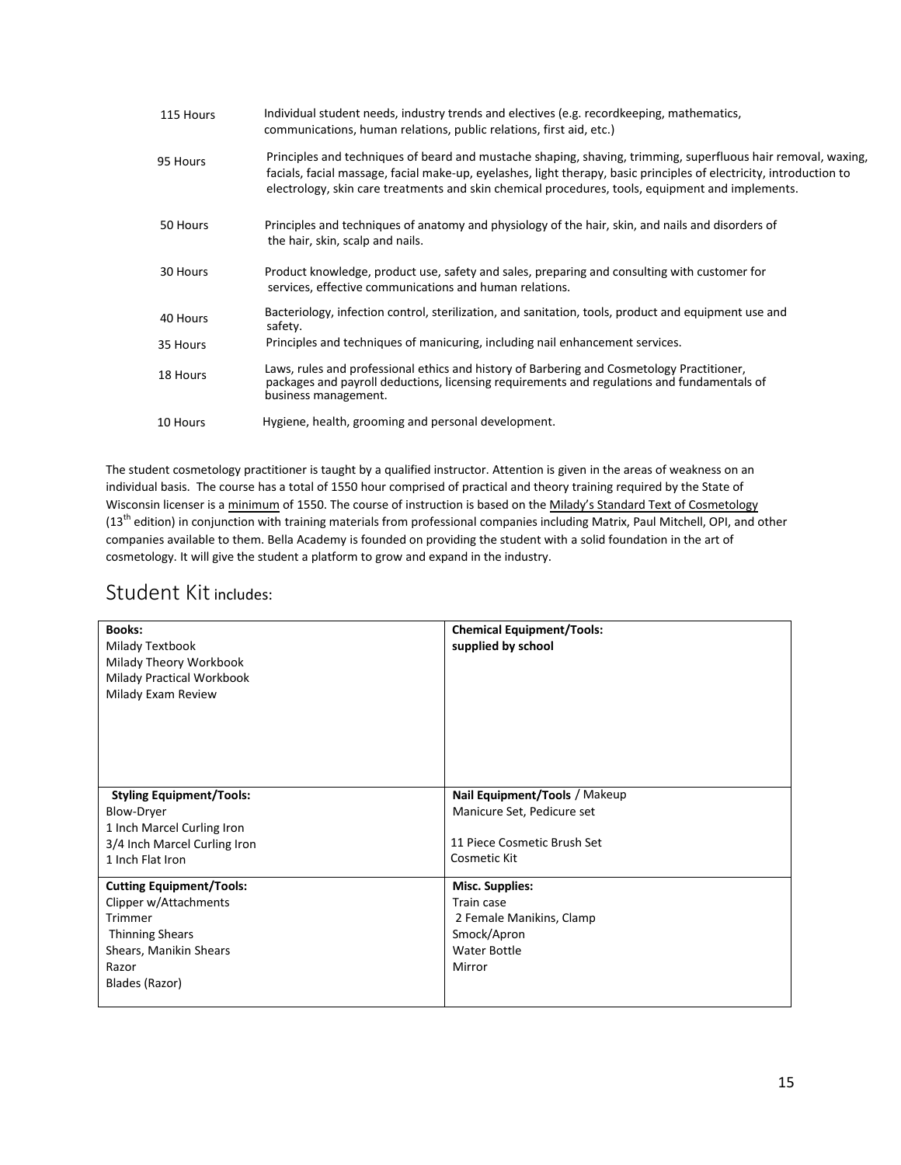| 115 Hours | Individual student needs, industry trends and electives (e.g. recordkeeping, mathematics,<br>communications, human relations, public relations, first aid, etc.)                                                                                                                                                                         |
|-----------|------------------------------------------------------------------------------------------------------------------------------------------------------------------------------------------------------------------------------------------------------------------------------------------------------------------------------------------|
| 95 Hours  | Principles and techniques of beard and mustache shaping, shaving, trimming, superfluous hair removal, waxing,<br>facials, facial massage, facial make-up, eyelashes, light therapy, basic principles of electricity, introduction to<br>electrology, skin care treatments and skin chemical procedures, tools, equipment and implements. |
| 50 Hours  | Principles and techniques of anatomy and physiology of the hair, skin, and nails and disorders of<br>the hair, skin, scalp and nails.                                                                                                                                                                                                    |
| 30 Hours  | Product knowledge, product use, safety and sales, preparing and consulting with customer for<br>services, effective communications and human relations.                                                                                                                                                                                  |
| 40 Hours  | Bacteriology, infection control, sterilization, and sanitation, tools, product and equipment use and<br>safety.                                                                                                                                                                                                                          |
| 35 Hours  | Principles and techniques of manicuring, including nail enhancement services.                                                                                                                                                                                                                                                            |
| 18 Hours  | Laws, rules and professional ethics and history of Barbering and Cosmetology Practitioner,<br>packages and payroll deductions, licensing requirements and regulations and fundamentals of<br>business management.                                                                                                                        |
| 10 Hours  | Hygiene, health, grooming and personal development.                                                                                                                                                                                                                                                                                      |

The student cosmetology practitioner is taught by a qualified instructor. Attention is given in the areas of weakness on an individual basis. The course has a total of 1550 hour comprised of practical and theory training required by the State of Wisconsin licenser is a minimum of 1550. The course of instruction is based on the Milady's Standard Text of Cosmetology (13<sup>th</sup> edition) in conjunction with training materials from professional companies including Matrix, Paul Mitchell, OPI, and other companies available to them. Bella Academy is founded on providing the student with a solid foundation in the art of cosmetology. It will give the student a platform to grow and expand in the industry.

## <span id="page-15-0"></span>Student Kit includes:

| <b>Books:</b><br>Milady Textbook<br>Milady Theory Workbook<br>Milady Practical Workbook<br>Milady Exam Review                                      | <b>Chemical Equipment/Tools:</b><br>supplied by school                                                           |
|----------------------------------------------------------------------------------------------------------------------------------------------------|------------------------------------------------------------------------------------------------------------------|
| <b>Styling Equipment/Tools:</b><br>Blow-Dryer<br>1 Inch Marcel Curling Iron<br>3/4 Inch Marcel Curling Iron<br>1 Inch Flat Iron                    | Nail Equipment/Tools / Makeup<br>Manicure Set, Pedicure set<br>11 Piece Cosmetic Brush Set<br>Cosmetic Kit       |
| <b>Cutting Equipment/Tools:</b><br>Clipper w/Attachments<br>Trimmer<br><b>Thinning Shears</b><br>Shears, Manikin Shears<br>Razor<br>Blades (Razor) | <b>Misc. Supplies:</b><br>Train case<br>2 Female Manikins, Clamp<br>Smock/Apron<br><b>Water Bottle</b><br>Mirror |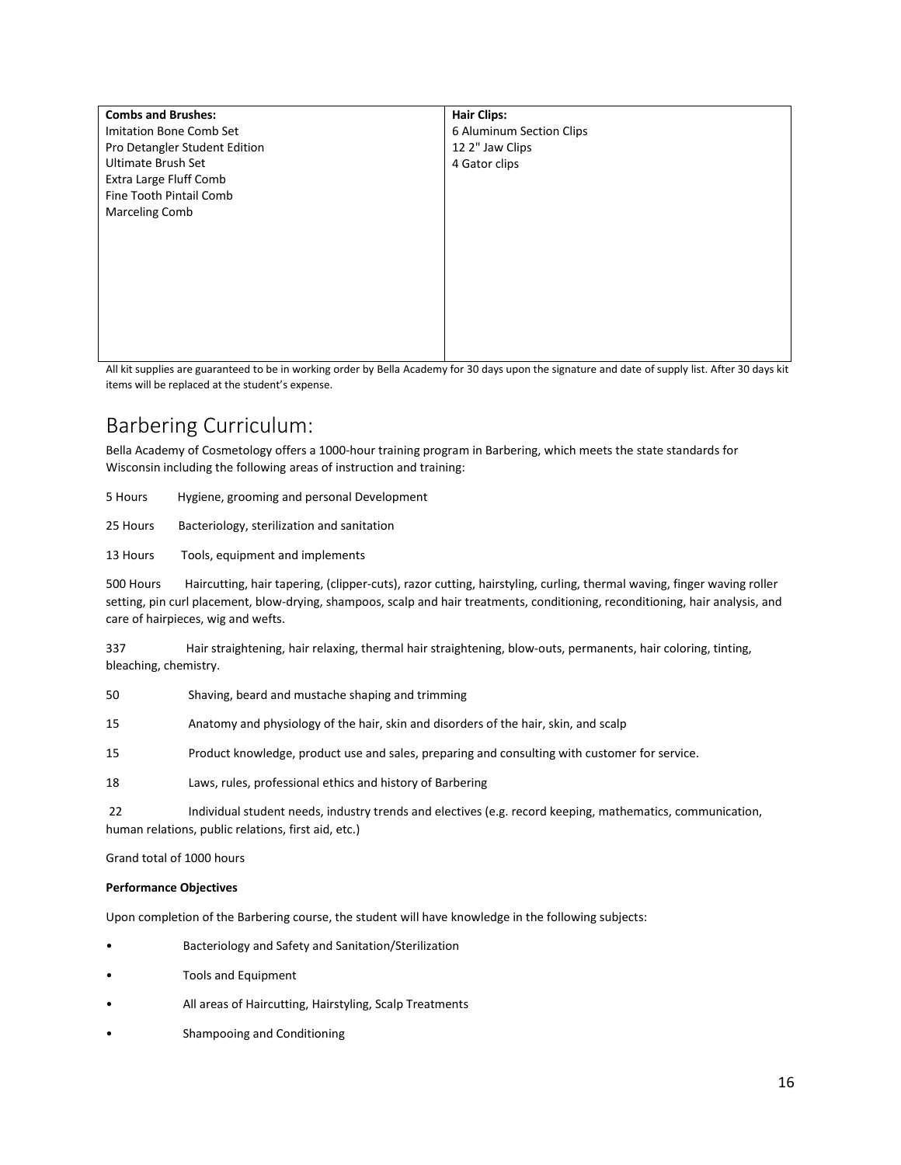| <b>Combs and Brushes:</b>                                                                                   | <b>Hair Clips:</b>       |
|-------------------------------------------------------------------------------------------------------------|--------------------------|
| Imitation Bone Comb Set                                                                                     | 6 Aluminum Section Clips |
| Pro Detangler Student Edition                                                                               | 12 2" Jaw Clips          |
| Ultimate Brush Set                                                                                          | 4 Gator clips            |
| Extra Large Fluff Comb                                                                                      |                          |
| Fine Tooth Pintail Comb                                                                                     |                          |
| <b>Marceling Comb</b>                                                                                       |                          |
|                                                                                                             |                          |
|                                                                                                             |                          |
|                                                                                                             |                          |
|                                                                                                             |                          |
|                                                                                                             |                          |
|                                                                                                             |                          |
|                                                                                                             |                          |
|                                                                                                             |                          |
| .<br>$\sim$<br>$\cdot$ $\cdot$ $\cdot$ $\cdot$<br>$\sim$<br>$\cdot$ $\cdot$ $\cdot$ $\cdot$ $\cdot$ $\cdot$ | .                        |

All kit supplies are guaranteed to be in working order by Bella Academy for 30 days upon the signature and date of supply list. After 30 days kit items will be replaced at the student's expense.

## <span id="page-16-0"></span>Barbering Curriculum:

Bella Academy of Cosmetology offers a 1000-hour training program in Barbering, which meets the state standards for Wisconsin including the following areas of instruction and training:

5 Hours Hygiene, grooming and personal Development

25 Hours Bacteriology, sterilization and sanitation

13 Hours Tools, equipment and implements

500 Hours Haircutting, hair tapering, (clipper-cuts), razor cutting, hairstyling, curling, thermal waving, finger waving roller setting, pin curl placement, blow-drying, shampoos, scalp and hair treatments, conditioning, reconditioning, hair analysis, and care of hairpieces, wig and wefts.

337 Hair straightening, hair relaxing, thermal hair straightening, blow-outs, permanents, hair coloring, tinting, bleaching, chemistry.

50 Shaving, beard and mustache shaping and trimming

15 Anatomy and physiology of the hair, skin and disorders of the hair, skin, and scalp

15 Product knowledge, product use and sales, preparing and consulting with customer for service.

18 Laws, rules, professional ethics and history of Barbering

 22 Individual student needs, industry trends and electives (e.g. record keeping, mathematics, communication, human relations, public relations, first aid, etc.)

Grand total of 1000 hours

#### **Performance Objectives**

Upon completion of the Barbering course, the student will have knowledge in the following subjects:

- Bacteriology and Safety and Sanitation/Sterilization
- Tools and Equipment
- All areas of Haircutting, Hairstyling, Scalp Treatments
- Shampooing and Conditioning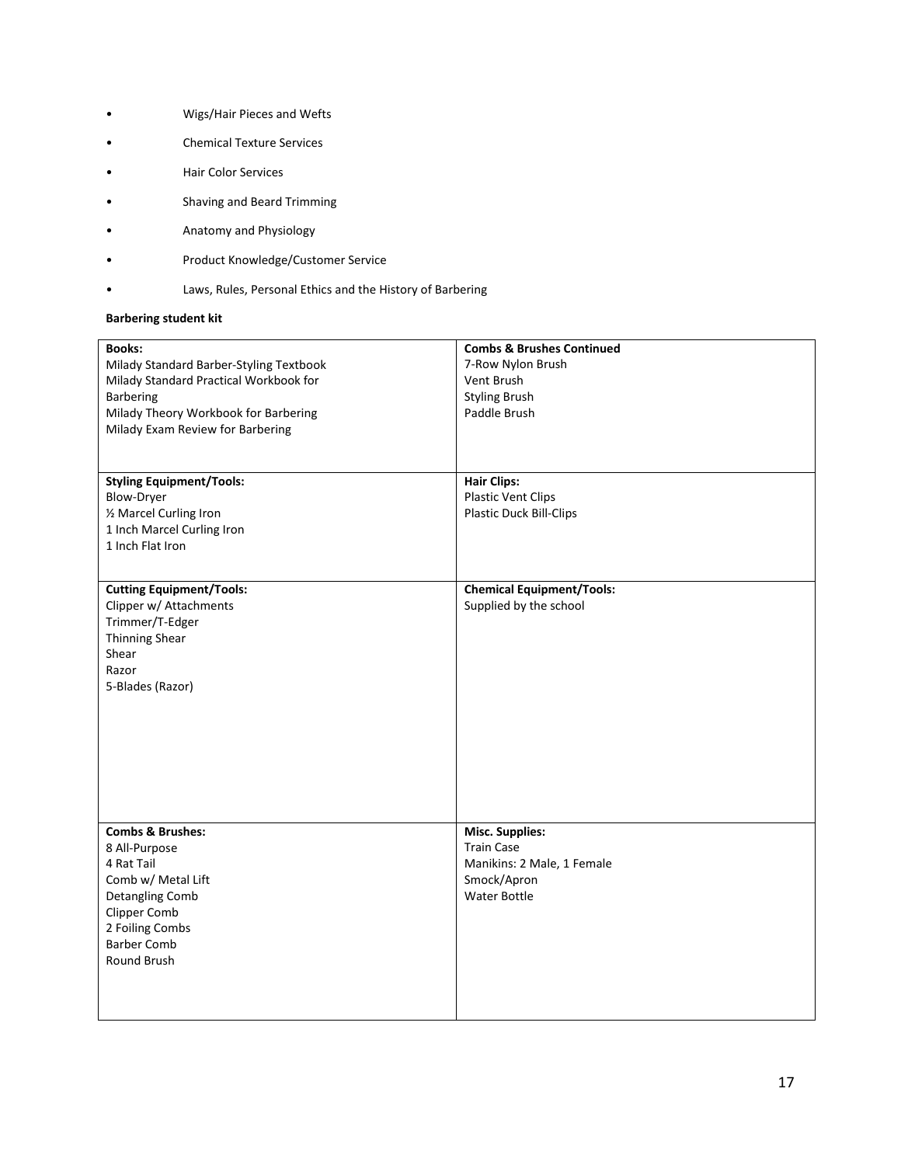- Wigs/Hair Pieces and Wefts
- Chemical Texture Services
- Hair Color Services
- Shaving and Beard Trimming
- Anatomy and Physiology
- Product Knowledge/Customer Service
- Laws, Rules, Personal Ethics and the History of Barbering

#### **Barbering student kit**

| <b>Books:</b>                                                            | <b>Combs &amp; Brushes Continued</b> |
|--------------------------------------------------------------------------|--------------------------------------|
| Milady Standard Barber-Styling Textbook                                  | 7-Row Nylon Brush                    |
| Milady Standard Practical Workbook for                                   | Vent Brush                           |
| Barbering                                                                | <b>Styling Brush</b><br>Paddle Brush |
| Milady Theory Workbook for Barbering<br>Milady Exam Review for Barbering |                                      |
|                                                                          |                                      |
|                                                                          |                                      |
| <b>Styling Equipment/Tools:</b>                                          | <b>Hair Clips:</b>                   |
| Blow-Dryer                                                               | <b>Plastic Vent Clips</b>            |
| 1/2 Marcel Curling Iron                                                  | Plastic Duck Bill-Clips              |
| 1 Inch Marcel Curling Iron                                               |                                      |
| 1 Inch Flat Iron                                                         |                                      |
|                                                                          |                                      |
| <b>Cutting Equipment/Tools:</b>                                          | <b>Chemical Equipment/Tools:</b>     |
| Clipper w/ Attachments                                                   | Supplied by the school               |
| Trimmer/T-Edger                                                          |                                      |
| <b>Thinning Shear</b><br>Shear                                           |                                      |
| Razor                                                                    |                                      |
| 5-Blades (Razor)                                                         |                                      |
|                                                                          |                                      |
|                                                                          |                                      |
|                                                                          |                                      |
|                                                                          |                                      |
|                                                                          |                                      |
|                                                                          |                                      |
|                                                                          |                                      |
| <b>Combs &amp; Brushes:</b>                                              | <b>Misc. Supplies:</b>               |
| 8 All-Purpose                                                            | <b>Train Case</b>                    |
| 4 Rat Tail                                                               | Manikins: 2 Male, 1 Female           |
| Comb w/ Metal Lift                                                       | Smock/Apron                          |
| Detangling Comb                                                          | <b>Water Bottle</b>                  |
| <b>Clipper Comb</b>                                                      |                                      |
| 2 Foiling Combs<br><b>Barber Comb</b>                                    |                                      |
| Round Brush                                                              |                                      |
|                                                                          |                                      |
|                                                                          |                                      |
|                                                                          |                                      |
|                                                                          |                                      |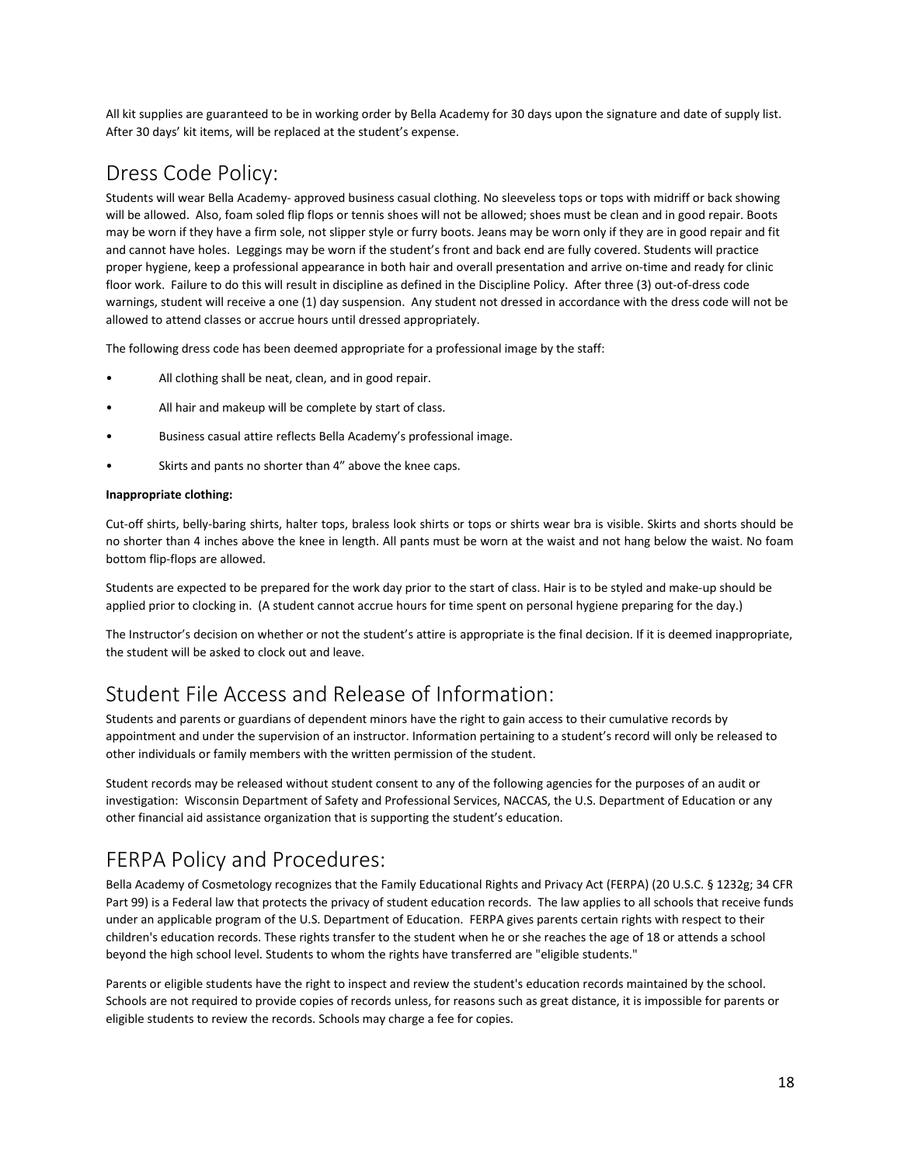All kit supplies are guaranteed to be in working order by Bella Academy for 30 days upon the signature and date of supply list. After 30 days' kit items, will be replaced at the student's expense.

## <span id="page-18-0"></span>Dress Code Policy:

Students will wear Bella Academy- approved business casual clothing. No sleeveless tops or tops with midriff or back showing will be allowed. Also, foam soled flip flops or tennis shoes will not be allowed; shoes must be clean and in good repair. Boots may be worn if they have a firm sole, not slipper style or furry boots. Jeans may be worn only if they are in good repair and fit and cannot have holes. Leggings may be worn if the student's front and back end are fully covered. Students will practice proper hygiene, keep a professional appearance in both hair and overall presentation and arrive on-time and ready for clinic floor work. Failure to do this will result in discipline as defined in the Discipline Policy. After three (3) out-of-dress code warnings, student will receive a one (1) day suspension. Any student not dressed in accordance with the dress code will not be allowed to attend classes or accrue hours until dressed appropriately.

The following dress code has been deemed appropriate for a professional image by the staff:

- All clothing shall be neat, clean, and in good repair.
- All hair and makeup will be complete by start of class.
- Business casual attire reflects Bella Academy's professional image.
- Skirts and pants no shorter than 4" above the knee caps.

#### **Inappropriate clothing:**

Cut-off shirts, belly-baring shirts, halter tops, braless look shirts or tops or shirts wear bra is visible. Skirts and shorts should be no shorter than 4 inches above the knee in length. All pants must be worn at the waist and not hang below the waist. No foam bottom flip-flops are allowed.

Students are expected to be prepared for the work day prior to the start of class. Hair is to be styled and make-up should be applied prior to clocking in. (A student cannot accrue hours for time spent on personal hygiene preparing for the day.)

The Instructor's decision on whether or not the student's attire is appropriate is the final decision. If it is deemed inappropriate, the student will be asked to clock out and leave.

## <span id="page-18-1"></span>Student File Access and Release of Information:

Students and parents or guardians of dependent minors have the right to gain access to their cumulative records by appointment and under the supervision of an instructor. Information pertaining to a student's record will only be released to other individuals or family members with the written permission of the student.

Student records may be released without student consent to any of the following agencies for the purposes of an audit or investigation: Wisconsin Department of Safety and Professional Services, NACCAS, the U.S. Department of Education or any other financial aid assistance organization that is supporting the student's education.

# <span id="page-18-2"></span>FERPA Policy and Procedures:

Bella Academy of Cosmetology recognizes that the Family Educational Rights and Privacy Act (FERPA) (20 U.S.C. § 1232g; 34 CFR Part 99) is a Federal law that protects the privacy of student education records. The law applies to all schools that receive funds under an applicable program of the U.S. Department of Education. FERPA gives parents certain rights with respect to their children's education records. These rights transfer to the student when he or she reaches the age of 18 or attends a school beyond the high school level. Students to whom the rights have transferred are "eligible students."

Parents or eligible students have the right to inspect and review the student's education records maintained by the school. Schools are not required to provide copies of records unless, for reasons such as great distance, it is impossible for parents or eligible students to review the records. Schools may charge a fee for copies.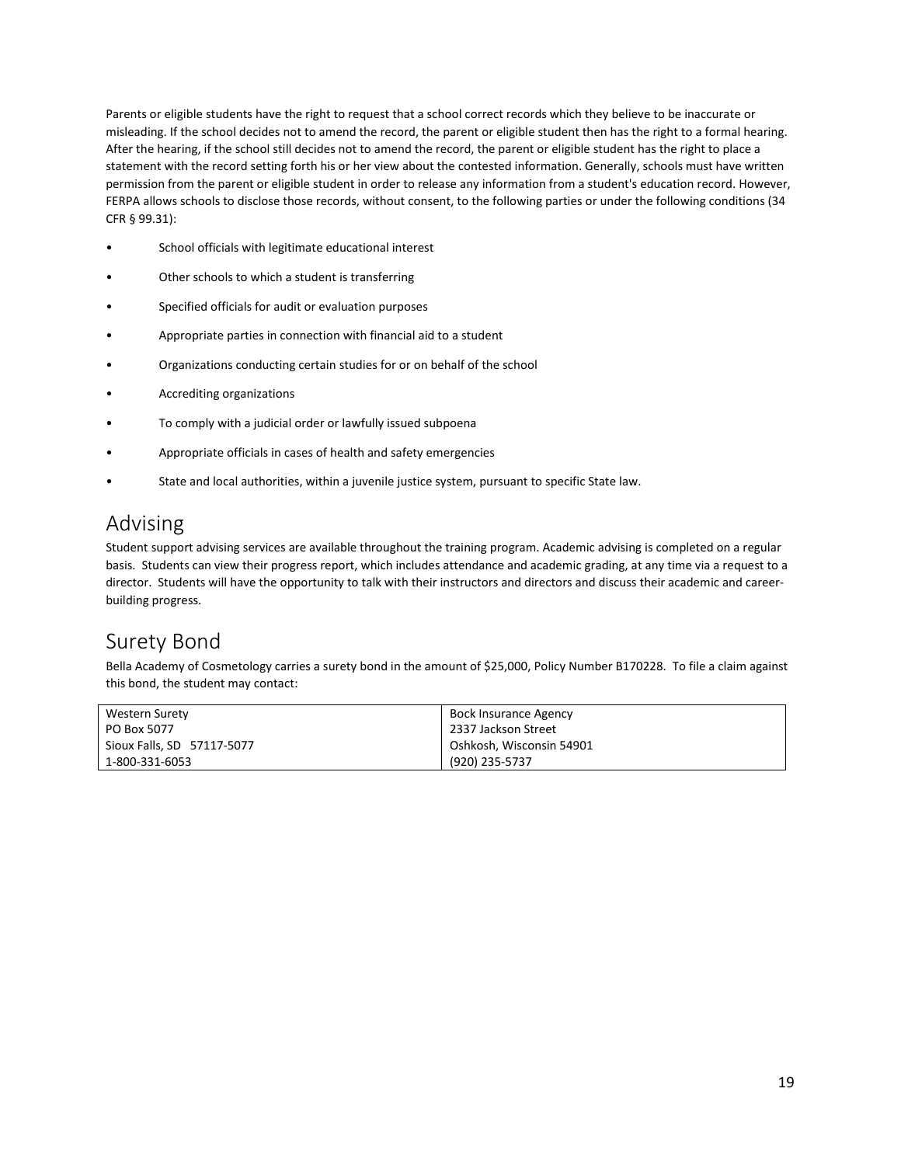Parents or eligible students have the right to request that a school correct records which they believe to be inaccurate or misleading. If the school decides not to amend the record, the parent or eligible student then has the right to a formal hearing. After the hearing, if the school still decides not to amend the record, the parent or eligible student has the right to place a statement with the record setting forth his or her view about the contested information. Generally, schools must have written permission from the parent or eligible student in order to release any information from a student's education record. However, FERPA allows schools to disclose those records, without consent, to the following parties or under the following conditions (34 CFR § 99.31):

- School officials with legitimate educational interest
- Other schools to which a student is transferring
- Specified officials for audit or evaluation purposes
- Appropriate parties in connection with financial aid to a student
- Organizations conducting certain studies for or on behalf of the school
- Accrediting organizations
- To comply with a judicial order or lawfully issued subpoena
- Appropriate officials in cases of health and safety emergencies
- State and local authorities, within a juvenile justice system, pursuant to specific State law.

# <span id="page-19-0"></span>Advising

Student support advising services are available throughout the training program. Academic advising is completed on a regular basis. Students can view their progress report, which includes attendance and academic grading, at any time via a request to a director. Students will have the opportunity to talk with their instructors and directors and discuss their academic and careerbuilding progress.

## <span id="page-19-1"></span>Surety Bond

Bella Academy of Cosmetology carries a surety bond in the amount of \$25,000, Policy Number B170228. To file a claim against this bond, the student may contact:

| Western Surety             | Bock Insurance Agency    |
|----------------------------|--------------------------|
| PO Box 5077                | 2337 Jackson Street      |
| Sioux Falls, SD 57117-5077 | Oshkosh, Wisconsin 54901 |
| 1-800-331-6053             | (920) 235-5737           |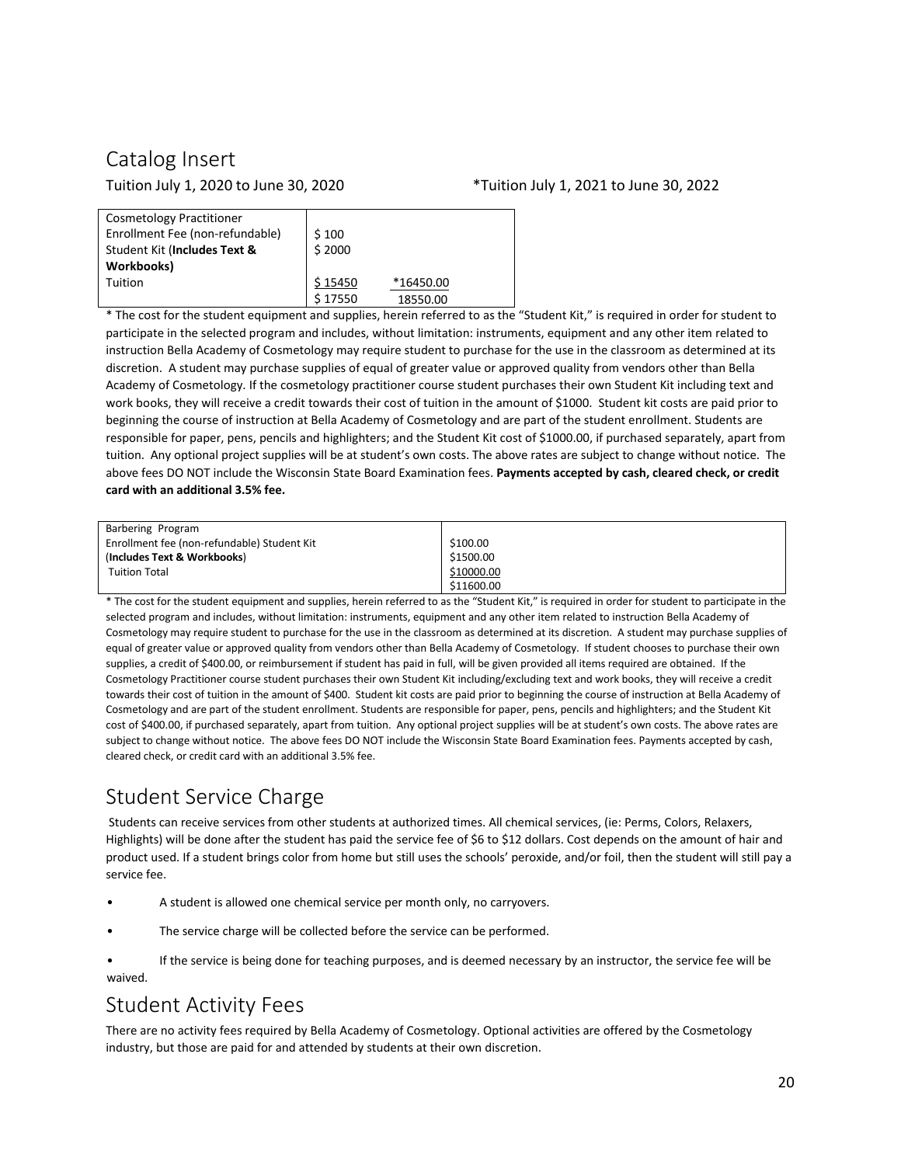# <span id="page-20-0"></span>Catalog Insert

#### Tuition July 1, 2020 to June 30, 2020 \*Tuition July 1, 2021 to June 30, 2022

| Workbooks)<br>\$15450<br>*16450.00<br>Tuition<br>\$17550<br>18550.00 | <b>Cosmetology Practitioner</b><br>Enrollment Fee (non-refundable)<br>Student Kit (Includes Text & | \$100<br>\$2000 |  |
|----------------------------------------------------------------------|----------------------------------------------------------------------------------------------------|-----------------|--|
|                                                                      |                                                                                                    |                 |  |
|                                                                      |                                                                                                    |                 |  |
|                                                                      |                                                                                                    |                 |  |

\* The cost for the student equipment and supplies, herein referred to as the "Student Kit," is required in order for student to participate in the selected program and includes, without limitation: instruments, equipment and any other item related to instruction Bella Academy of Cosmetology may require student to purchase for the use in the classroom as determined at its discretion. A student may purchase supplies of equal of greater value or approved quality from vendors other than Bella Academy of Cosmetology. If the cosmetology practitioner course student purchases their own Student Kit including text and work books, they will receive a credit towards their cost of tuition in the amount of \$1000. Student kit costs are paid prior to beginning the course of instruction at Bella Academy of Cosmetology and are part of the student enrollment. Students are responsible for paper, pens, pencils and highlighters; and the Student Kit cost of \$1000.00, if purchased separately, apart from tuition. Any optional project supplies will be at student's own costs. The above rates are subject to change without notice. The above fees DO NOT include the Wisconsin State Board Examination fees. **Payments accepted by cash, cleared check, or credit card with an additional 3.5% fee.**

| Barbering Program                           |            |
|---------------------------------------------|------------|
| Enrollment fee (non-refundable) Student Kit | \$100.00   |
| (Includes Text & Workbooks)                 | \$1500.00  |
| <b>Tuition Total</b>                        | \$10000.00 |
|                                             | \$11600.00 |

\* The cost for the student equipment and supplies, herein referred to as the "Student Kit," is required in order for student to participate in the selected program and includes, without limitation: instruments, equipment and any other item related to instruction Bella Academy of Cosmetology may require student to purchase for the use in the classroom as determined at its discretion. A student may purchase supplies of equal of greater value or approved quality from vendors other than Bella Academy of Cosmetology. If student chooses to purchase their own supplies, a credit of \$400.00, or reimbursement if student has paid in full, will be given provided all items required are obtained. If the Cosmetology Practitioner course student purchases their own Student Kit including/excluding text and work books, they will receive a credit towards their cost of tuition in the amount of \$400. Student kit costs are paid prior to beginning the course of instruction at Bella Academy of Cosmetology and are part of the student enrollment. Students are responsible for paper, pens, pencils and highlighters; and the Student Kit cost of \$400.00, if purchased separately, apart from tuition. Any optional project supplies will be at student's own costs. The above rates are subject to change without notice. The above fees DO NOT include the Wisconsin State Board Examination fees. Payments accepted by cash, cleared check, or credit card with an additional 3.5% fee.

# <span id="page-20-1"></span>Student Service Charge

Students can receive services from other students at authorized times. All chemical services, (ie: Perms, Colors, Relaxers, Highlights) will be done after the student has paid the service fee of \$6 to \$12 dollars. Cost depends on the amount of hair and product used. If a student brings color from home but still uses the schools' peroxide, and/or foil, then the student will still pay a service fee.

- A student is allowed one chemical service per month only, no carryovers.
- The service charge will be collected before the service can be performed.

If the service is being done for teaching purposes, and is deemed necessary by an instructor, the service fee will be waived.

# <span id="page-20-2"></span>Student Activity Fees

There are no activity fees required by Bella Academy of Cosmetology. Optional activities are offered by the Cosmetology industry, but those are paid for and attended by students at their own discretion.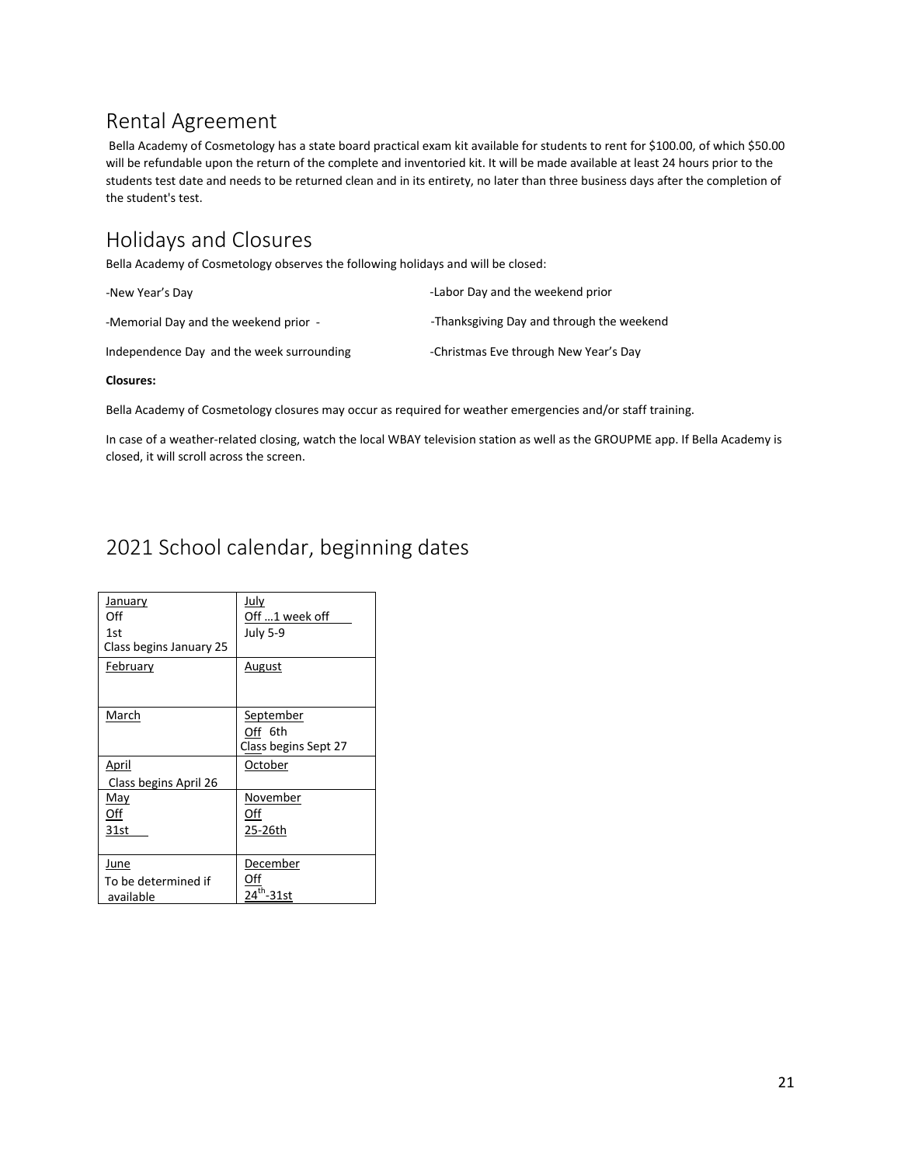## <span id="page-21-0"></span>Rental Agreement

Bella Academy of Cosmetology has a state board practical exam kit available for students to rent for \$100.00, of which \$50.00 will be refundable upon the return of the complete and inventoried kit. It will be made available at least 24 hours prior to the students test date and needs to be returned clean and in its entirety, no later than three business days after the completion of the student's test.

# <span id="page-21-1"></span>Holidays and Closures

Bella Academy of Cosmetology observes the following holidays and will be closed:

| -New Year's Day                           | -Labor Day and the weekend prior          |
|-------------------------------------------|-------------------------------------------|
| -Memorial Day and the weekend prior -     | -Thanksgiving Day and through the weekend |
| Independence Day and the week surrounding | -Christmas Eve through New Year's Day     |

#### **Closures:**

Bella Academy of Cosmetology closures may occur as required for weather emergencies and/or staff training.

In case of a weather-related closing, watch the local WBAY television station as well as the GROUPME app. If Bella Academy is closed, it will scroll across the screen.

# <span id="page-21-2"></span>2021 School calendar, beginning dates

| January<br>Off<br>1st<br>Class begins January 25 | July<br>Off 1 week off<br><b>July 5-9</b>    |
|--------------------------------------------------|----------------------------------------------|
| February                                         | <u>August</u>                                |
| March                                            | September<br>Off 6th<br>Class begins Sept 27 |
| April<br>Class begins April 26                   | October                                      |
| May<br>Off<br>31st                               | November<br>Off<br>25-26th                   |
| June<br>To be determined if<br>available         | December<br><sup>th</sup> -31st              |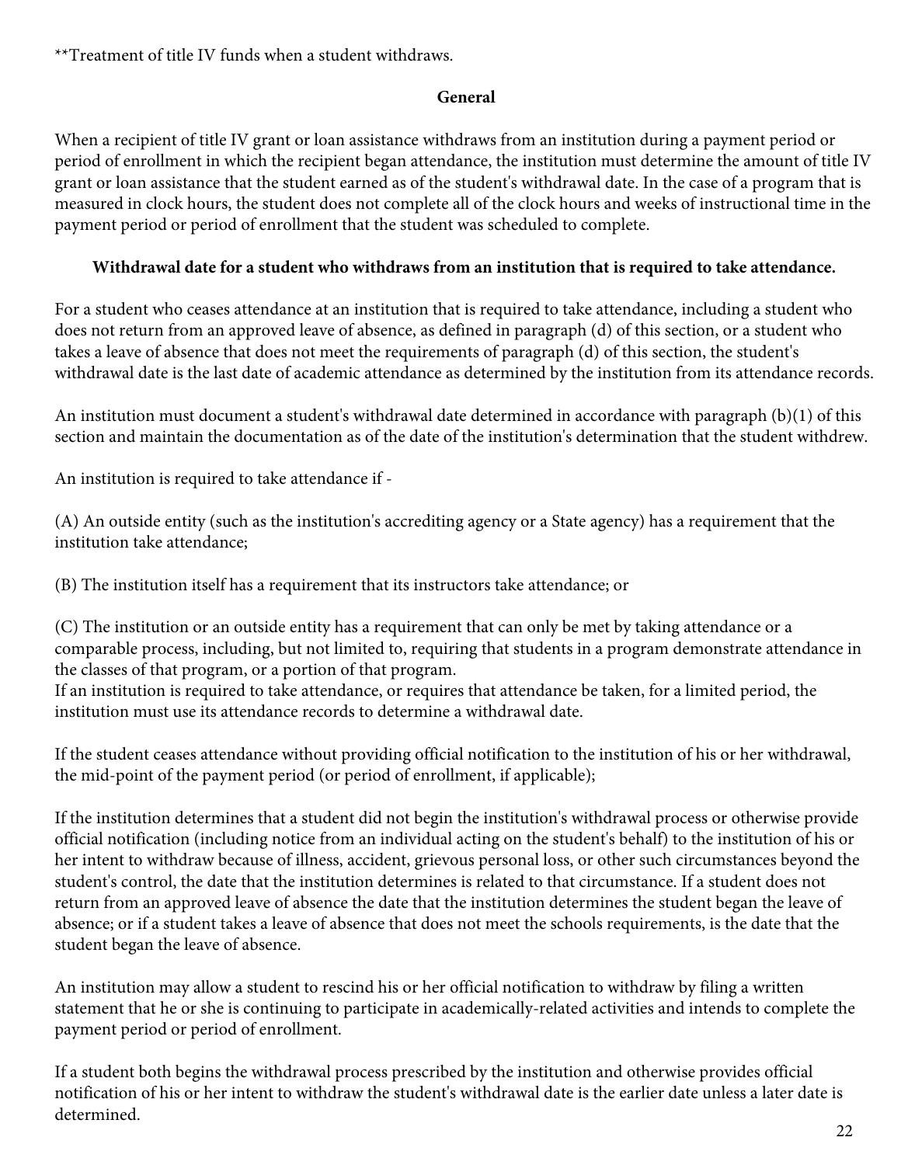\*\*Treatment of title IV funds when a student withdraws.

### **General**

When a recipient of title IV grant or loan assistance withdraws from an institution during a payment period or period of enrollment in which the recipient began attendance, the institution must determine the amount of title IV grant or loan assistance that the student earned as of the student's withdrawal date. In the case of a program that is measured in clock hours, the student does not complete all of the clock hours and weeks of instructional time in the payment period or period of enrollment that the student was scheduled to complete.

### **Withdrawal date for a student who withdraws from an institution that is required to take attendance.**

For a student who ceases attendance at an institution that is required to take attendance, including a student who does not return from an approved leave of absence, as defined in paragraph (d) of this section, or a student who takes a leave of absence that does not meet the requirements of paragraph (d) of this section, the student's withdrawal date is the last date of academic attendance as determined by the institution from its attendance records.

An institution must document a student's withdrawal date determined in accordance with paragraph (b)(1) of this section and maintain the documentation as of the date of the institution's determination that the student withdrew.

An institution is required to take attendance if -

(A) An outside entity (such as the institution's accrediting agency or a State agency) has a requirement that the institution take attendance;

(B) The institution itself has a requirement that its instructors take attendance; or

(C) The institution or an outside entity has a requirement that can only be met by taking attendance or a comparable process, including, but not limited to, requiring that students in a program demonstrate attendance in the classes of that program, or a portion of that program.

If an institution is required to take attendance, or requires that attendance be taken, for a limited period, the institution must use its attendance records to determine a withdrawal date.

If the student ceases attendance without providing official notification to the institution of his or her withdrawal, the mid-point of the payment period (or period of enrollment, if applicable);

If the institution determines that a student did not begin the institution's withdrawal process or otherwise provide official notification (including notice from an individual acting on the student's behalf) to the institution of his or her intent to withdraw because of illness, accident, grievous personal loss, or other such circumstances beyond the student's control, the date that the institution determines is related to that circumstance. If a student does not return from an approved leave of absence the date that the institution determines the student began the leave of absence; or if a student takes a leave of absence that does not meet the schools requirements, is the date that the student began the leave of absence.

An institution may allow a student to rescind his or her official notification to withdraw by filing a written statement that he or she is continuing to participate in academically-related activities and intends to complete the payment period or period of enrollment.

If a student both begins the withdrawal process prescribed by the institution and otherwise provides official notification of his or her intent to withdraw the student's withdrawal date is the earlier date unless a later date is determined.